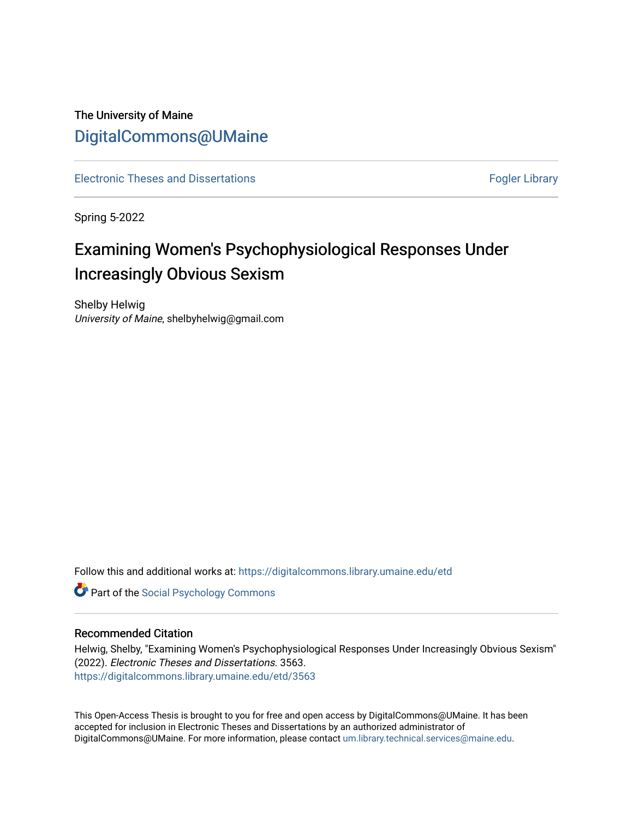# The University of Maine [DigitalCommons@UMaine](https://digitalcommons.library.umaine.edu/)

[Electronic Theses and Dissertations](https://digitalcommons.library.umaine.edu/etd) [Fogler Library](https://digitalcommons.library.umaine.edu/fogler) Fogler Library

Spring 5-2022

# Examining Women's Psychophysiological Responses Under Increasingly Obvious Sexism

Shelby Helwig University of Maine, shelbyhelwig@gmail.com

Follow this and additional works at: [https://digitalcommons.library.umaine.edu/etd](https://digitalcommons.library.umaine.edu/etd?utm_source=digitalcommons.library.umaine.edu%2Fetd%2F3563&utm_medium=PDF&utm_campaign=PDFCoverPages) 

**Part of the Social Psychology Commons** 

#### Recommended Citation

Helwig, Shelby, "Examining Women's Psychophysiological Responses Under Increasingly Obvious Sexism" (2022). Electronic Theses and Dissertations. 3563. [https://digitalcommons.library.umaine.edu/etd/3563](https://digitalcommons.library.umaine.edu/etd/3563?utm_source=digitalcommons.library.umaine.edu%2Fetd%2F3563&utm_medium=PDF&utm_campaign=PDFCoverPages)

This Open-Access Thesis is brought to you for free and open access by DigitalCommons@UMaine. It has been accepted for inclusion in Electronic Theses and Dissertations by an authorized administrator of DigitalCommons@UMaine. For more information, please contact [um.library.technical.services@maine.edu](mailto:um.library.technical.services@maine.edu).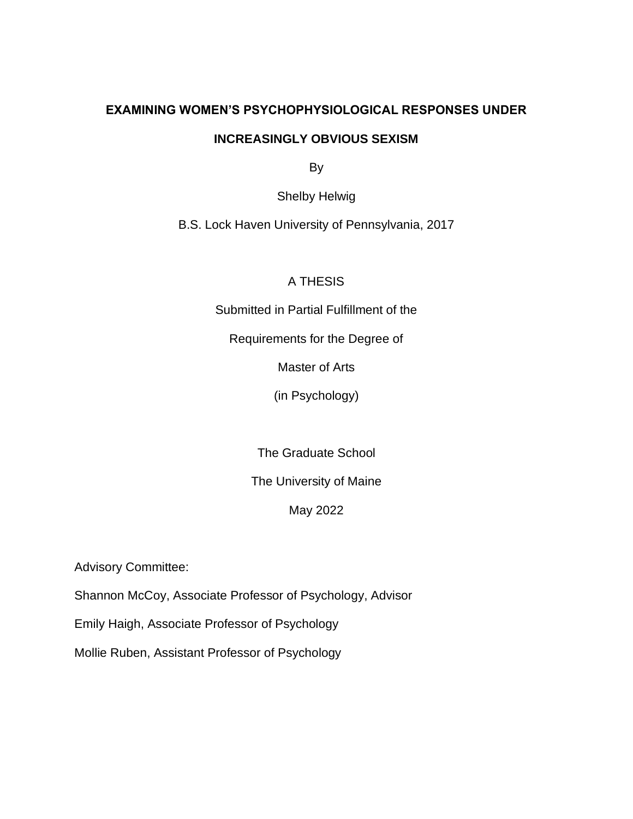# **EXAMINING WOMEN'S PSYCHOPHYSIOLOGICAL RESPONSES UNDER**

### **INCREASINGLY OBVIOUS SEXISM**

By

Shelby Helwig

B.S. Lock Haven University of Pennsylvania, 2017

# A THESIS

Submitted in Partial Fulfillment of the

Requirements for the Degree of

Master of Arts

(in Psychology)

The Graduate School

The University of Maine

# May 2022

Advisory Committee:

Shannon McCoy, Associate Professor of Psychology, Advisor

Emily Haigh, Associate Professor of Psychology

Mollie Ruben, Assistant Professor of Psychology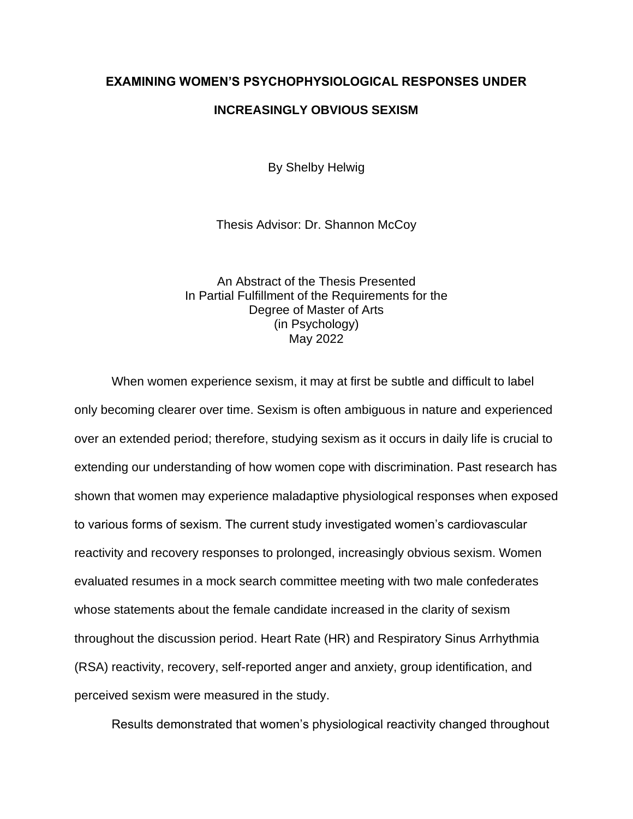### **EXAMINING WOMEN'S PSYCHOPHYSIOLOGICAL RESPONSES UNDER**

### **INCREASINGLY OBVIOUS SEXISM**

By Shelby Helwig

Thesis Advisor: Dr. Shannon McCoy

An Abstract of the Thesis Presented In Partial Fulfillment of the Requirements for the Degree of Master of Arts (in Psychology) May 2022

When women experience sexism, it may at first be subtle and difficult to label only becoming clearer over time. Sexism is often ambiguous in nature and experienced over an extended period; therefore, studying sexism as it occurs in daily life is crucial to extending our understanding of how women cope with discrimination. Past research has shown that women may experience maladaptive physiological responses when exposed to various forms of sexism. The current study investigated women's cardiovascular reactivity and recovery responses to prolonged, increasingly obvious sexism. Women evaluated resumes in a mock search committee meeting with two male confederates whose statements about the female candidate increased in the clarity of sexism throughout the discussion period. Heart Rate (HR) and Respiratory Sinus Arrhythmia (RSA) reactivity, recovery, self-reported anger and anxiety, group identification, and perceived sexism were measured in the study.

Results demonstrated that women's physiological reactivity changed throughout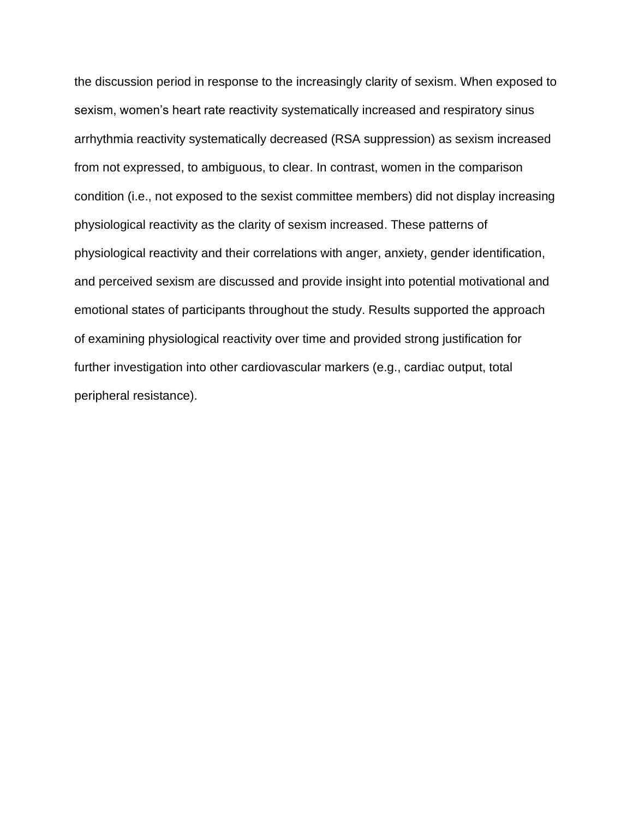the discussion period in response to the increasingly clarity of sexism. When exposed to sexism, women's heart rate reactivity systematically increased and respiratory sinus arrhythmia reactivity systematically decreased (RSA suppression) as sexism increased from not expressed, to ambiguous, to clear. In contrast, women in the comparison condition (i.e., not exposed to the sexist committee members) did not display increasing physiological reactivity as the clarity of sexism increased. These patterns of physiological reactivity and their correlations with anger, anxiety, gender identification, and perceived sexism are discussed and provide insight into potential motivational and emotional states of participants throughout the study. Results supported the approach of examining physiological reactivity over time and provided strong justification for further investigation into other cardiovascular markers (e.g., cardiac output, total peripheral resistance).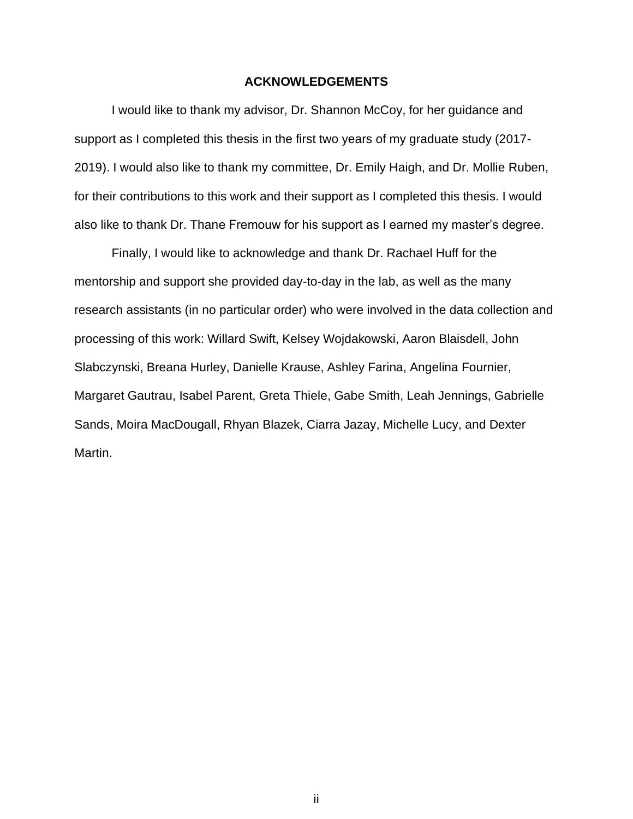#### **ACKNOWLEDGEMENTS**

I would like to thank my advisor, Dr. Shannon McCoy, for her guidance and support as I completed this thesis in the first two years of my graduate study (2017- 2019). I would also like to thank my committee, Dr. Emily Haigh, and Dr. Mollie Ruben, for their contributions to this work and their support as I completed this thesis. I would also like to thank Dr. Thane Fremouw for his support as I earned my master's degree.

Finally, I would like to acknowledge and thank Dr. Rachael Huff for the mentorship and support she provided day-to-day in the lab, as well as the many research assistants (in no particular order) who were involved in the data collection and processing of this work: Willard Swift, Kelsey Wojdakowski, Aaron Blaisdell, John Slabczynski, Breana Hurley, Danielle Krause, Ashley Farina, Angelina Fournier, Margaret Gautrau, Isabel Parent, Greta Thiele, Gabe Smith, Leah Jennings, Gabrielle Sands, Moira MacDougall, Rhyan Blazek, Ciarra Jazay, Michelle Lucy, and Dexter Martin.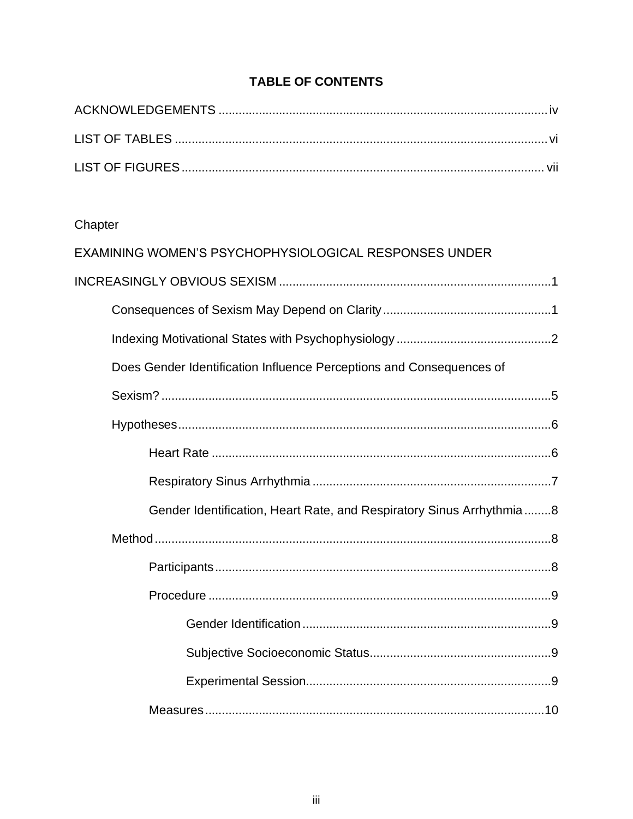# **TABLE OF CONTENTS**

# Chapter

| EXAMINING WOMEN'S PSYCHOPHYSIOLOGICAL RESPONSES UNDER                |
|----------------------------------------------------------------------|
|                                                                      |
|                                                                      |
|                                                                      |
| Does Gender Identification Influence Perceptions and Consequences of |
|                                                                      |
|                                                                      |
|                                                                      |
|                                                                      |
| Gender Identification, Heart Rate, and Respiratory Sinus Arrhythmia8 |
|                                                                      |
|                                                                      |
|                                                                      |
|                                                                      |
|                                                                      |
|                                                                      |
|                                                                      |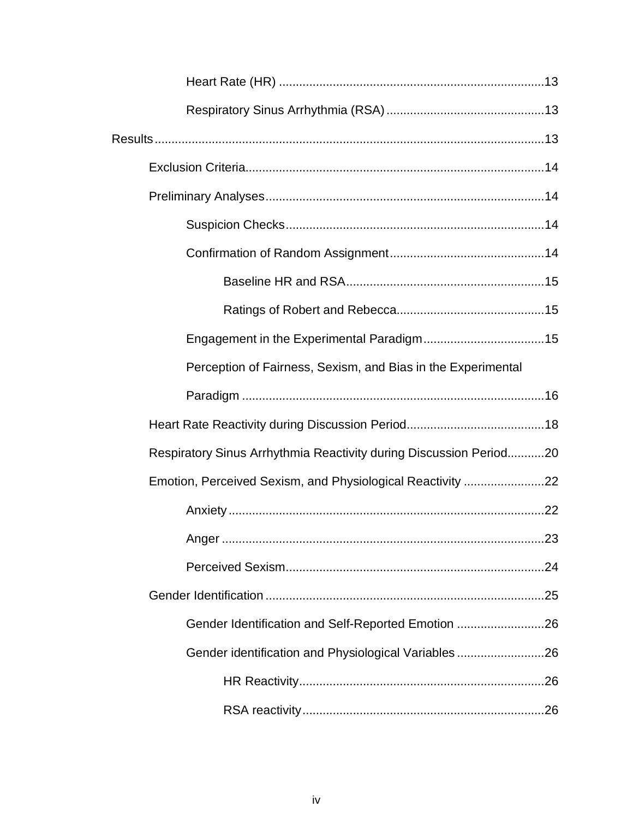| Perception of Fairness, Sexism, and Bias in the Experimental       |  |
|--------------------------------------------------------------------|--|
|                                                                    |  |
|                                                                    |  |
| Respiratory Sinus Arrhythmia Reactivity during Discussion Period20 |  |
| Emotion, Perceived Sexism, and Physiological Reactivity 22         |  |
|                                                                    |  |
|                                                                    |  |
|                                                                    |  |
|                                                                    |  |
| Gender Identification and Self-Reported Emotion 26                 |  |
| Gender identification and Physiological Variables 26               |  |
|                                                                    |  |
|                                                                    |  |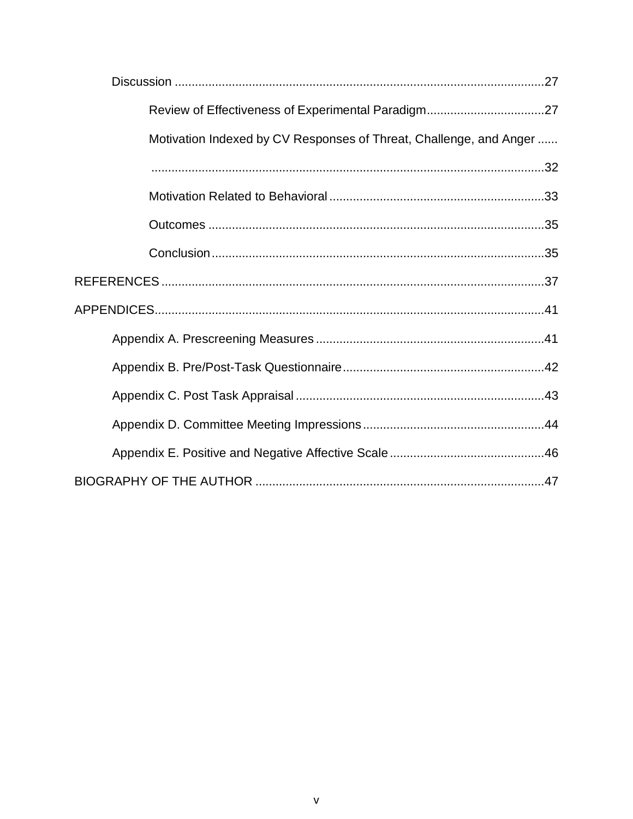| Motivation Indexed by CV Responses of Threat, Challenge, and Anger |  |
|--------------------------------------------------------------------|--|
|                                                                    |  |
|                                                                    |  |
|                                                                    |  |
|                                                                    |  |
|                                                                    |  |
|                                                                    |  |
|                                                                    |  |
|                                                                    |  |
|                                                                    |  |
|                                                                    |  |
|                                                                    |  |
|                                                                    |  |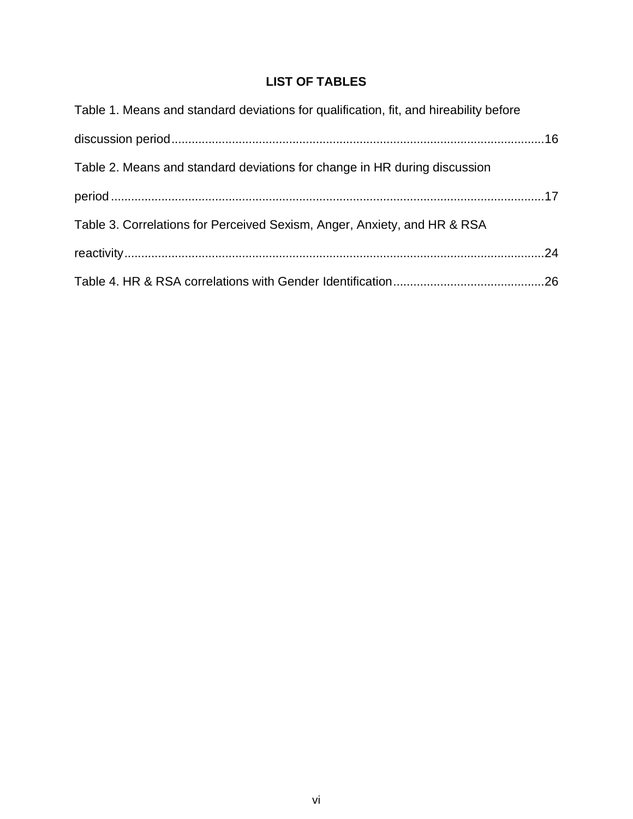# **LIST OF TABLES**

| Table 1. Means and standard deviations for qualification, fit, and hireability before |  |
|---------------------------------------------------------------------------------------|--|
|                                                                                       |  |
| Table 2. Means and standard deviations for change in HR during discussion             |  |
|                                                                                       |  |
| Table 3. Correlations for Perceived Sexism, Anger, Anxiety, and HR & RSA              |  |
|                                                                                       |  |
|                                                                                       |  |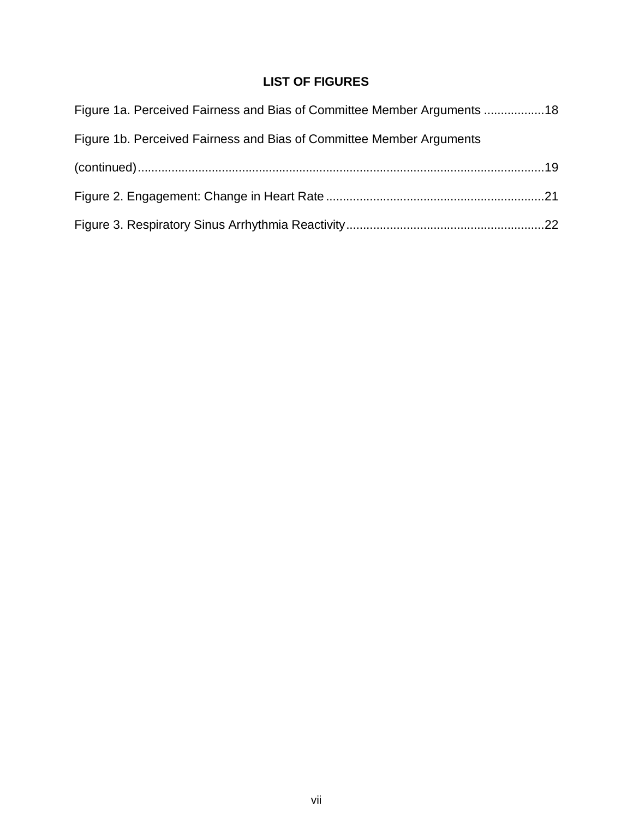# **LIST OF FIGURES**

| Figure 1a. Perceived Fairness and Bias of Committee Member Arguments 18 |  |
|-------------------------------------------------------------------------|--|
| Figure 1b. Perceived Fairness and Bias of Committee Member Arguments    |  |
|                                                                         |  |
|                                                                         |  |
|                                                                         |  |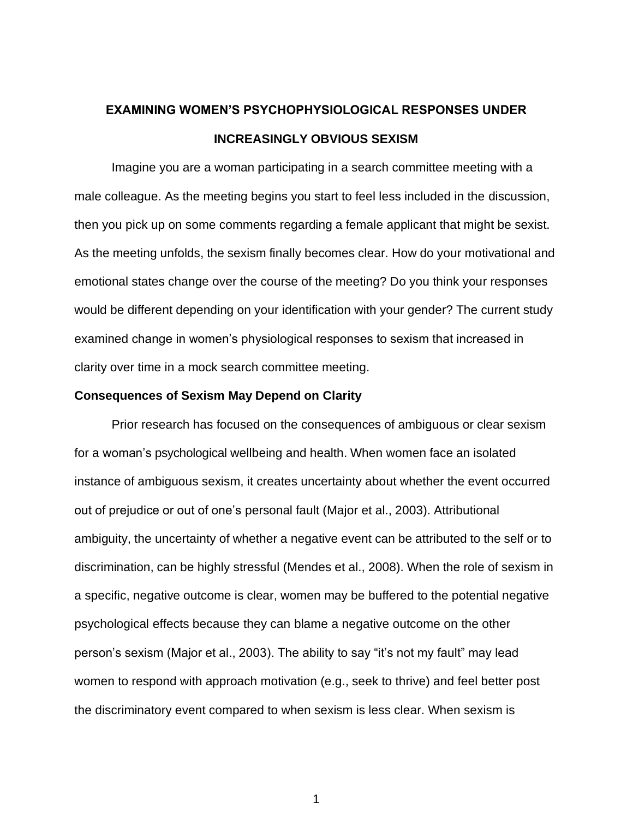# **EXAMINING WOMEN'S PSYCHOPHYSIOLOGICAL RESPONSES UNDER INCREASINGLY OBVIOUS SEXISM**

Imagine you are a woman participating in a search committee meeting with a male colleague. As the meeting begins you start to feel less included in the discussion, then you pick up on some comments regarding a female applicant that might be sexist. As the meeting unfolds, the sexism finally becomes clear. How do your motivational and emotional states change over the course of the meeting? Do you think your responses would be different depending on your identification with your gender? The current study examined change in women's physiological responses to sexism that increased in clarity over time in a mock search committee meeting.

#### **Consequences of Sexism May Depend on Clarity**

Prior research has focused on the consequences of ambiguous or clear sexism for a woman's psychological wellbeing and health. When women face an isolated instance of ambiguous sexism, it creates uncertainty about whether the event occurred out of prejudice or out of one's personal fault (Major et al., 2003). Attributional ambiguity, the uncertainty of whether a negative event can be attributed to the self or to discrimination, can be highly stressful (Mendes et al., 2008). When the role of sexism in a specific, negative outcome is clear, women may be buffered to the potential negative psychological effects because they can blame a negative outcome on the other person's sexism (Major et al., 2003). The ability to say "it's not my fault" may lead women to respond with approach motivation (e.g., seek to thrive) and feel better post the discriminatory event compared to when sexism is less clear. When sexism is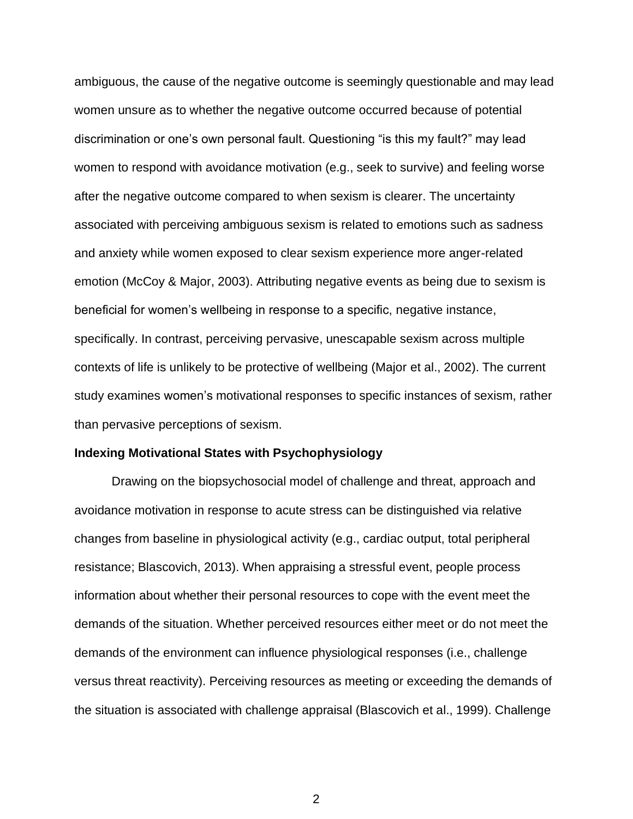ambiguous, the cause of the negative outcome is seemingly questionable and may lead women unsure as to whether the negative outcome occurred because of potential discrimination or one's own personal fault. Questioning "is this my fault?" may lead women to respond with avoidance motivation (e.g., seek to survive) and feeling worse after the negative outcome compared to when sexism is clearer. The uncertainty associated with perceiving ambiguous sexism is related to emotions such as sadness and anxiety while women exposed to clear sexism experience more anger-related emotion (McCoy & Major, 2003). Attributing negative events as being due to sexism is beneficial for women's wellbeing in response to a specific, negative instance, specifically. In contrast, perceiving pervasive, unescapable sexism across multiple contexts of life is unlikely to be protective of wellbeing (Major et al., 2002). The current study examines women's motivational responses to specific instances of sexism, rather than pervasive perceptions of sexism.

#### **Indexing Motivational States with Psychophysiology**

Drawing on the biopsychosocial model of challenge and threat, approach and avoidance motivation in response to acute stress can be distinguished via relative changes from baseline in physiological activity (e.g., cardiac output, total peripheral resistance; Blascovich, 2013). When appraising a stressful event, people process information about whether their personal resources to cope with the event meet the demands of the situation. Whether perceived resources either meet or do not meet the demands of the environment can influence physiological responses (i.e., challenge versus threat reactivity). Perceiving resources as meeting or exceeding the demands of the situation is associated with challenge appraisal (Blascovich et al., 1999). Challenge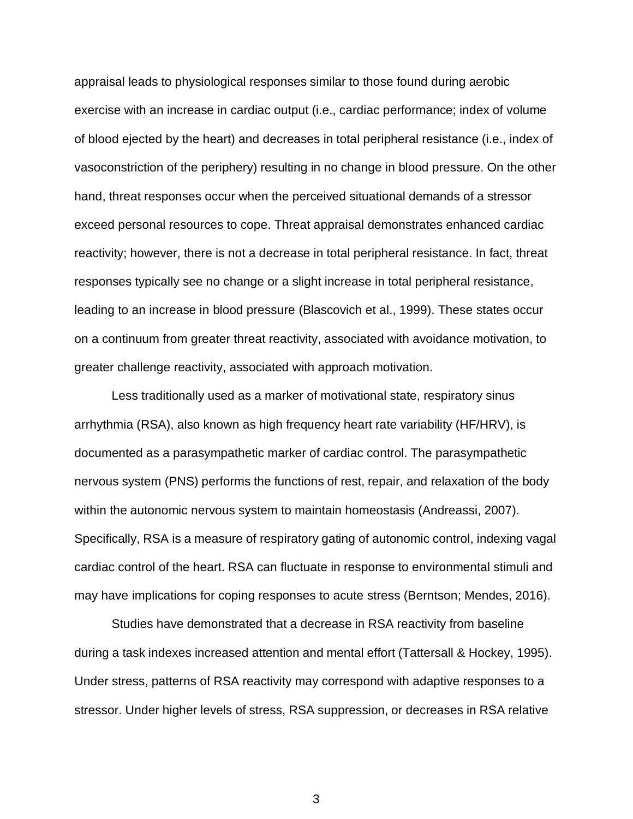appraisal leads to physiological responses similar to those found during aerobic exercise with an increase in cardiac output (i.e., cardiac performance; index of volume of blood ejected by the heart) and decreases in total peripheral resistance (i.e., index of vasoconstriction of the periphery) resulting in no change in blood pressure. On the other hand, threat responses occur when the perceived situational demands of a stressor exceed personal resources to cope. Threat appraisal demonstrates enhanced cardiac reactivity; however, there is not a decrease in total peripheral resistance. In fact, threat responses typically see no change or a slight increase in total peripheral resistance, leading to an increase in blood pressure (Blascovich et al., 1999). These states occur on a continuum from greater threat reactivity, associated with avoidance motivation, to greater challenge reactivity, associated with approach motivation.

Less traditionally used as a marker of motivational state, respiratory sinus arrhythmia (RSA), also known as high frequency heart rate variability (HF/HRV), is documented as a parasympathetic marker of cardiac control. The parasympathetic nervous system (PNS) performs the functions of rest, repair, and relaxation of the body within the autonomic nervous system to maintain homeostasis (Andreassi, 2007). Specifically, RSA is a measure of respiratory gating of autonomic control, indexing vagal cardiac control of the heart. RSA can fluctuate in response to environmental stimuli and may have implications for coping responses to acute stress (Berntson; Mendes, 2016).

Studies have demonstrated that a decrease in RSA reactivity from baseline during a task indexes increased attention and mental effort (Tattersall & Hockey, 1995). Under stress, patterns of RSA reactivity may correspond with adaptive responses to a stressor. Under higher levels of stress, RSA suppression, or decreases in RSA relative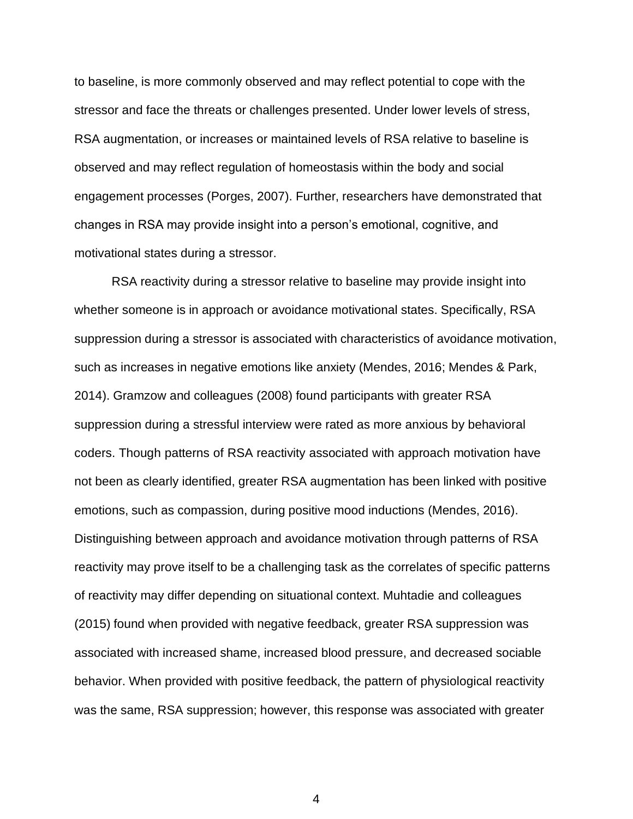to baseline, is more commonly observed and may reflect potential to cope with the stressor and face the threats or challenges presented. Under lower levels of stress, RSA augmentation, or increases or maintained levels of RSA relative to baseline is observed and may reflect regulation of homeostasis within the body and social engagement processes (Porges, 2007). Further, researchers have demonstrated that changes in RSA may provide insight into a person's emotional, cognitive, and motivational states during a stressor.

RSA reactivity during a stressor relative to baseline may provide insight into whether someone is in approach or avoidance motivational states. Specifically, RSA suppression during a stressor is associated with characteristics of avoidance motivation, such as increases in negative emotions like anxiety (Mendes, 2016; Mendes & Park, 2014). Gramzow and colleagues (2008) found participants with greater RSA suppression during a stressful interview were rated as more anxious by behavioral coders. Though patterns of RSA reactivity associated with approach motivation have not been as clearly identified, greater RSA augmentation has been linked with positive emotions, such as compassion, during positive mood inductions (Mendes, 2016). Distinguishing between approach and avoidance motivation through patterns of RSA reactivity may prove itself to be a challenging task as the correlates of specific patterns of reactivity may differ depending on situational context. Muhtadie and colleagues (2015) found when provided with negative feedback, greater RSA suppression was associated with increased shame, increased blood pressure, and decreased sociable behavior. When provided with positive feedback, the pattern of physiological reactivity was the same, RSA suppression; however, this response was associated with greater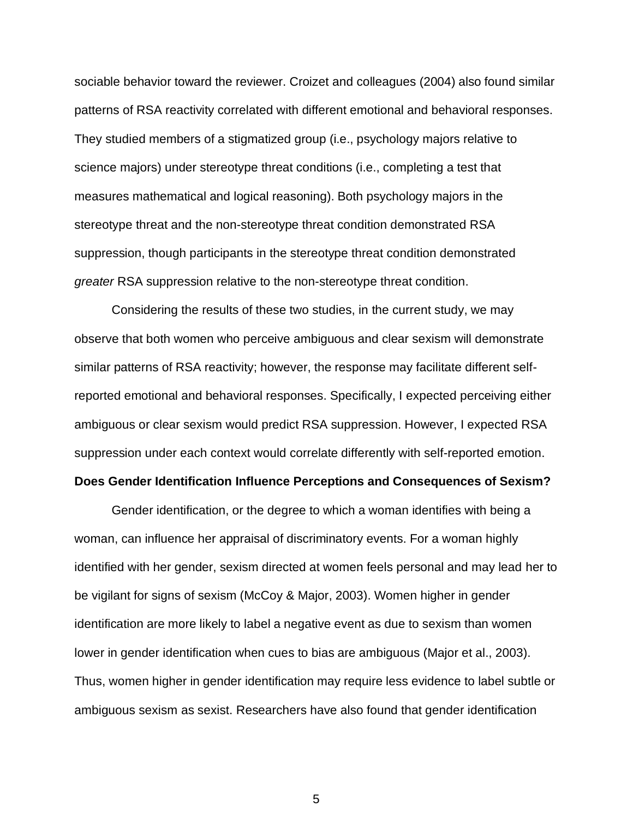sociable behavior toward the reviewer. Croizet and colleagues (2004) also found similar patterns of RSA reactivity correlated with different emotional and behavioral responses. They studied members of a stigmatized group (i.e., psychology majors relative to science majors) under stereotype threat conditions (i.e., completing a test that measures mathematical and logical reasoning). Both psychology majors in the stereotype threat and the non-stereotype threat condition demonstrated RSA suppression, though participants in the stereotype threat condition demonstrated *greater* RSA suppression relative to the non-stereotype threat condition.

Considering the results of these two studies, in the current study, we may observe that both women who perceive ambiguous and clear sexism will demonstrate similar patterns of RSA reactivity; however, the response may facilitate different selfreported emotional and behavioral responses. Specifically, I expected perceiving either ambiguous or clear sexism would predict RSA suppression. However, I expected RSA suppression under each context would correlate differently with self-reported emotion.

#### **Does Gender Identification Influence Perceptions and Consequences of Sexism?**

Gender identification, or the degree to which a woman identifies with being a woman, can influence her appraisal of discriminatory events. For a woman highly identified with her gender, sexism directed at women feels personal and may lead her to be vigilant for signs of sexism (McCoy & Major, 2003). Women higher in gender identification are more likely to label a negative event as due to sexism than women lower in gender identification when cues to bias are ambiguous (Major et al., 2003). Thus, women higher in gender identification may require less evidence to label subtle or ambiguous sexism as sexist. Researchers have also found that gender identification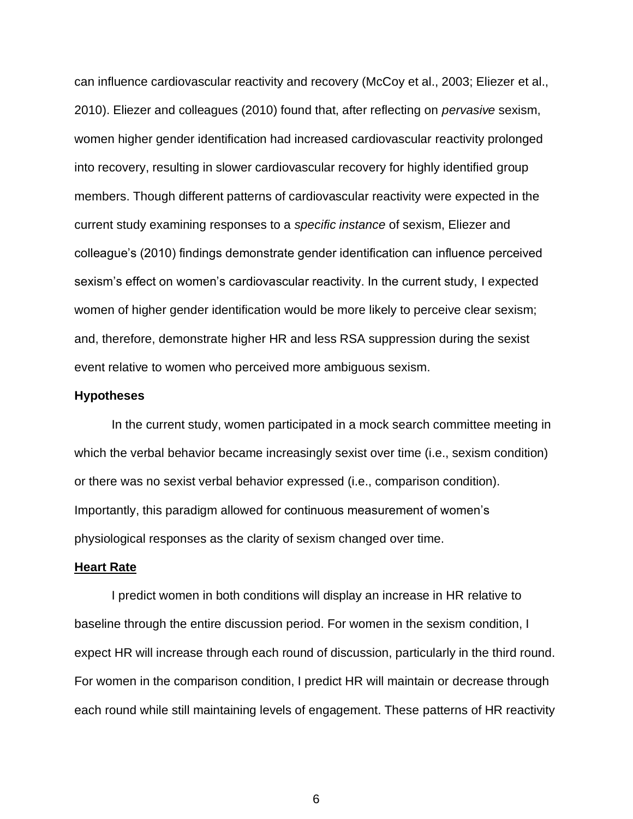can influence cardiovascular reactivity and recovery (McCoy et al., 2003; Eliezer et al., 2010). Eliezer and colleagues (2010) found that, after reflecting on *pervasive* sexism, women higher gender identification had increased cardiovascular reactivity prolonged into recovery, resulting in slower cardiovascular recovery for highly identified group members. Though different patterns of cardiovascular reactivity were expected in the current study examining responses to a *specific instance* of sexism, Eliezer and colleague's (2010) findings demonstrate gender identification can influence perceived sexism's effect on women's cardiovascular reactivity. In the current study, I expected women of higher gender identification would be more likely to perceive clear sexism; and, therefore, demonstrate higher HR and less RSA suppression during the sexist event relative to women who perceived more ambiguous sexism.

#### **Hypotheses**

In the current study, women participated in a mock search committee meeting in which the verbal behavior became increasingly sexist over time (i.e., sexism condition) or there was no sexist verbal behavior expressed (i.e., comparison condition). Importantly, this paradigm allowed for continuous measurement of women's physiological responses as the clarity of sexism changed over time.

#### **Heart Rate**

I predict women in both conditions will display an increase in HR relative to baseline through the entire discussion period. For women in the sexism condition, I expect HR will increase through each round of discussion, particularly in the third round. For women in the comparison condition, I predict HR will maintain or decrease through each round while still maintaining levels of engagement. These patterns of HR reactivity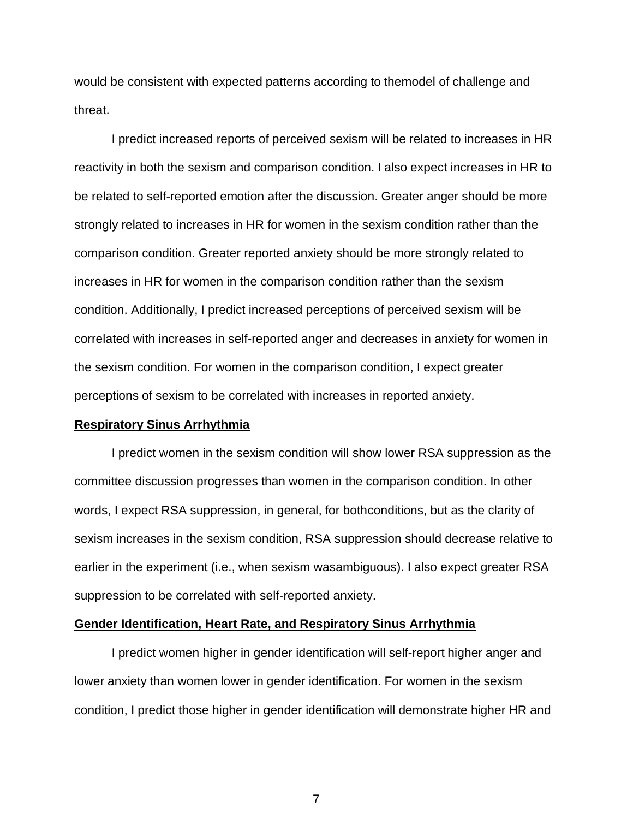would be consistent with expected patterns according to themodel of challenge and threat.

I predict increased reports of perceived sexism will be related to increases in HR reactivity in both the sexism and comparison condition. I also expect increases in HR to be related to self-reported emotion after the discussion. Greater anger should be more strongly related to increases in HR for women in the sexism condition rather than the comparison condition. Greater reported anxiety should be more strongly related to increases in HR for women in the comparison condition rather than the sexism condition. Additionally, I predict increased perceptions of perceived sexism will be correlated with increases in self-reported anger and decreases in anxiety for women in the sexism condition. For women in the comparison condition, I expect greater perceptions of sexism to be correlated with increases in reported anxiety.

#### **Respiratory Sinus Arrhythmia**

I predict women in the sexism condition will show lower RSA suppression as the committee discussion progresses than women in the comparison condition. In other words, I expect RSA suppression, in general, for bothconditions, but as the clarity of sexism increases in the sexism condition, RSA suppression should decrease relative to earlier in the experiment (i.e., when sexism wasambiguous). I also expect greater RSA suppression to be correlated with self-reported anxiety.

#### **Gender Identification, Heart Rate, and Respiratory Sinus Arrhythmia**

I predict women higher in gender identification will self-report higher anger and lower anxiety than women lower in gender identification. For women in the sexism condition, I predict those higher in gender identification will demonstrate higher HR and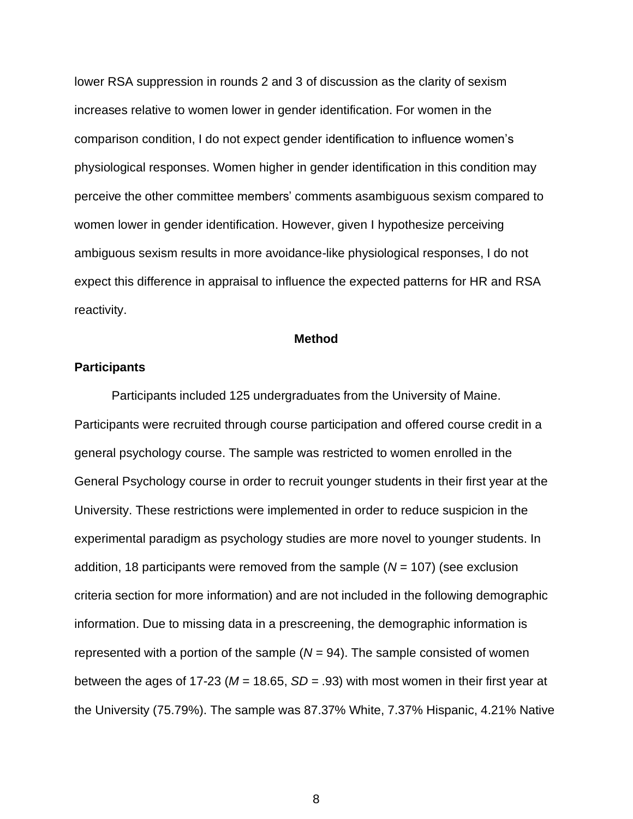lower RSA suppression in rounds 2 and 3 of discussion as the clarity of sexism increases relative to women lower in gender identification. For women in the comparison condition, I do not expect gender identification to influence women's physiological responses. Women higher in gender identification in this condition may perceive the other committee members' comments asambiguous sexism compared to women lower in gender identification. However, given I hypothesize perceiving ambiguous sexism results in more avoidance-like physiological responses, I do not expect this difference in appraisal to influence the expected patterns for HR and RSA reactivity.

#### **Method**

#### **Participants**

Participants included 125 undergraduates from the University of Maine. Participants were recruited through course participation and offered course credit in a general psychology course. The sample was restricted to women enrolled in the General Psychology course in order to recruit younger students in their first year at the University. These restrictions were implemented in order to reduce suspicion in the experimental paradigm as psychology studies are more novel to younger students. In addition, 18 participants were removed from the sample (*N* = 107) (see exclusion criteria section for more information) and are not included in the following demographic information. Due to missing data in a prescreening, the demographic information is represented with a portion of the sample  $(N = 94)$ . The sample consisted of women between the ages of 17-23 (*M* = 18.65, *SD* = .93) with most women in their first year at the University (75.79%). The sample was 87.37% White, 7.37% Hispanic, 4.21% Native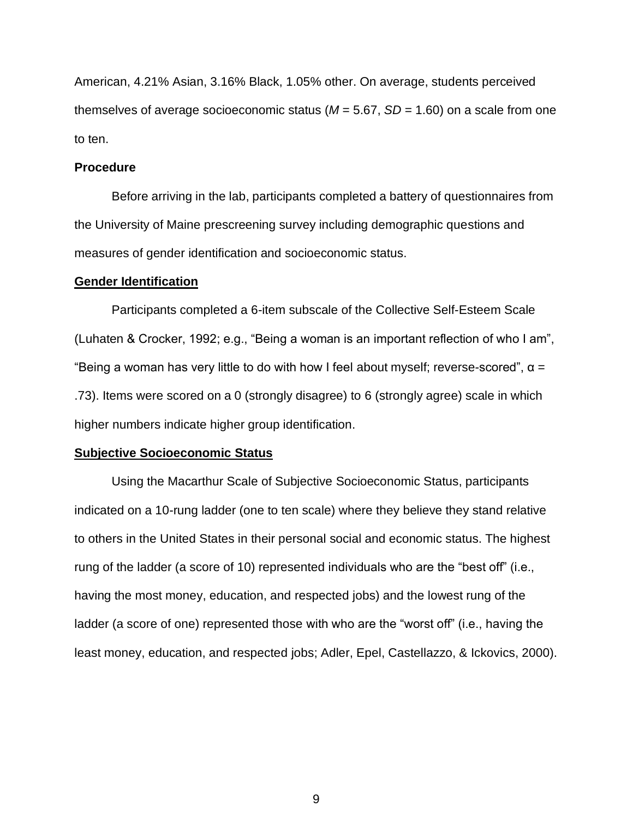American, 4.21% Asian, 3.16% Black, 1.05% other. On average, students perceived themselves of average socioeconomic status (*M* = 5.67, *SD* = 1.60) on a scale from one to ten.

#### **Procedure**

Before arriving in the lab, participants completed a battery of questionnaires from the University of Maine prescreening survey including demographic questions and measures of gender identification and socioeconomic status.

#### **Gender Identification**

Participants completed a 6-item subscale of the Collective Self-Esteem Scale (Luhaten & Crocker, 1992; e.g., "Being a woman is an important reflection of who I am", "Being a woman has very little to do with how I feel about myself; reverse-scored",  $\alpha$  = .73). Items were scored on a 0 (strongly disagree) to 6 (strongly agree) scale in which higher numbers indicate higher group identification.

#### **Subjective Socioeconomic Status**

Using the Macarthur Scale of Subjective Socioeconomic Status, participants indicated on a 10-rung ladder (one to ten scale) where they believe they stand relative to others in the United States in their personal social and economic status. The highest rung of the ladder (a score of 10) represented individuals who are the "best off" (i.e., having the most money, education, and respected jobs) and the lowest rung of the ladder (a score of one) represented those with who are the "worst off" (i.e., having the least money, education, and respected jobs; Adler, Epel, Castellazzo, & Ickovics, 2000).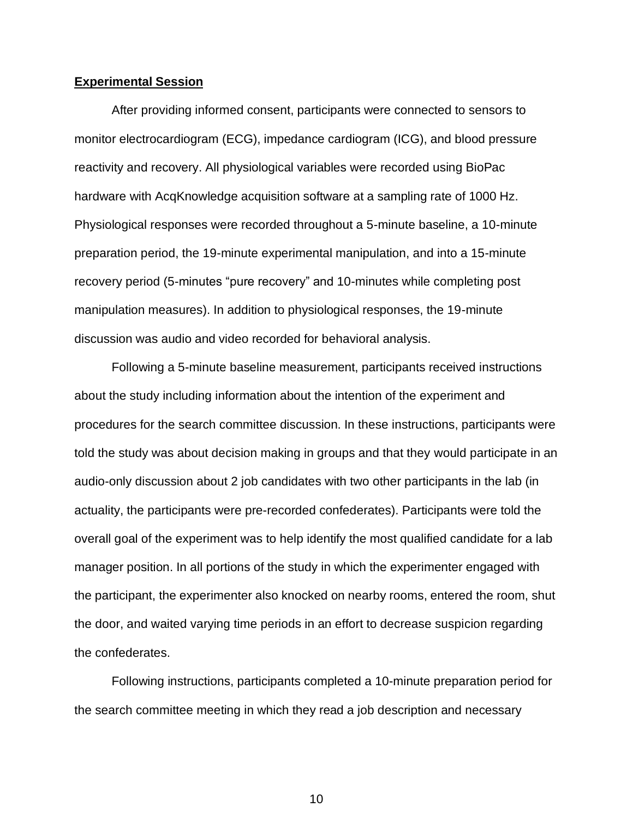#### **Experimental Session**

After providing informed consent, participants were connected to sensors to monitor electrocardiogram (ECG), impedance cardiogram (ICG), and blood pressure reactivity and recovery. All physiological variables were recorded using BioPac hardware with AcqKnowledge acquisition software at a sampling rate of 1000 Hz. Physiological responses were recorded throughout a 5-minute baseline, a 10-minute preparation period, the 19-minute experimental manipulation, and into a 15-minute recovery period (5-minutes "pure recovery" and 10-minutes while completing post manipulation measures). In addition to physiological responses, the 19-minute discussion was audio and video recorded for behavioral analysis.

Following a 5-minute baseline measurement, participants received instructions about the study including information about the intention of the experiment and procedures for the search committee discussion. In these instructions, participants were told the study was about decision making in groups and that they would participate in an audio-only discussion about 2 job candidates with two other participants in the lab (in actuality, the participants were pre-recorded confederates). Participants were told the overall goal of the experiment was to help identify the most qualified candidate for a lab manager position. In all portions of the study in which the experimenter engaged with the participant, the experimenter also knocked on nearby rooms, entered the room, shut the door, and waited varying time periods in an effort to decrease suspicion regarding the confederates.

Following instructions, participants completed a 10-minute preparation period for the search committee meeting in which they read a job description and necessary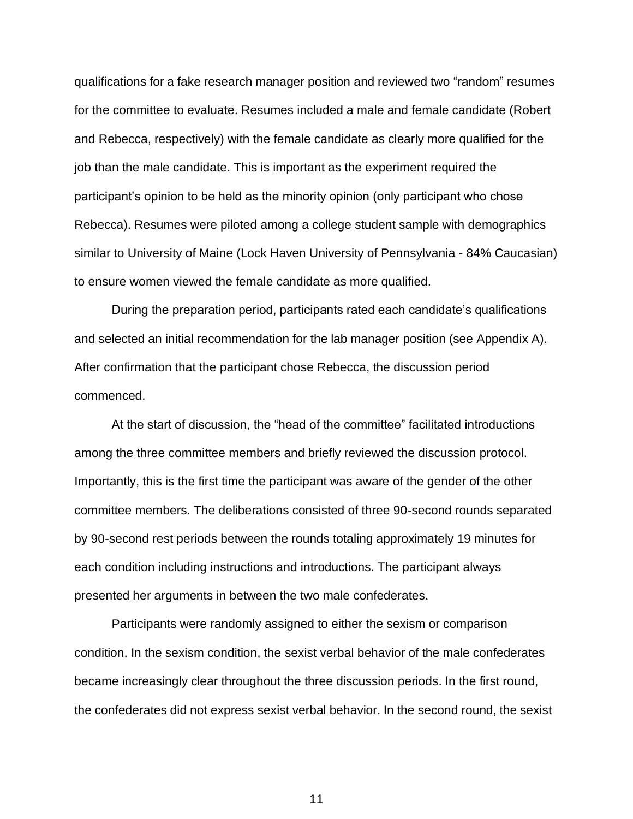qualifications for a fake research manager position and reviewed two "random" resumes for the committee to evaluate. Resumes included a male and female candidate (Robert and Rebecca, respectively) with the female candidate as clearly more qualified for the job than the male candidate. This is important as the experiment required the participant's opinion to be held as the minority opinion (only participant who chose Rebecca). Resumes were piloted among a college student sample with demographics similar to University of Maine (Lock Haven University of Pennsylvania - 84% Caucasian) to ensure women viewed the female candidate as more qualified.

During the preparation period, participants rated each candidate's qualifications and selected an initial recommendation for the lab manager position (see Appendix A). After confirmation that the participant chose Rebecca, the discussion period commenced.

At the start of discussion, the "head of the committee" facilitated introductions among the three committee members and briefly reviewed the discussion protocol. Importantly, this is the first time the participant was aware of the gender of the other committee members. The deliberations consisted of three 90-second rounds separated by 90-second rest periods between the rounds totaling approximately 19 minutes for each condition including instructions and introductions. The participant always presented her arguments in between the two male confederates.

Participants were randomly assigned to either the sexism or comparison condition. In the sexism condition, the sexist verbal behavior of the male confederates became increasingly clear throughout the three discussion periods. In the first round, the confederates did not express sexist verbal behavior. In the second round, the sexist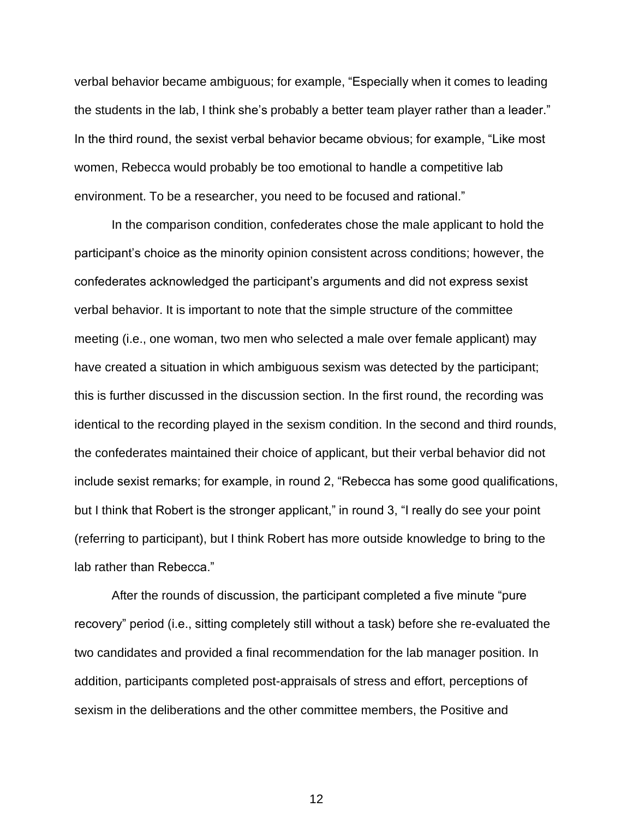verbal behavior became ambiguous; for example, "Especially when it comes to leading the students in the lab, I think she's probably a better team player rather than a leader." In the third round, the sexist verbal behavior became obvious; for example, "Like most women, Rebecca would probably be too emotional to handle a competitive lab environment. To be a researcher, you need to be focused and rational."

In the comparison condition, confederates chose the male applicant to hold the participant's choice as the minority opinion consistent across conditions; however, the confederates acknowledged the participant's arguments and did not express sexist verbal behavior. It is important to note that the simple structure of the committee meeting (i.e., one woman, two men who selected a male over female applicant) may have created a situation in which ambiguous sexism was detected by the participant; this is further discussed in the discussion section. In the first round, the recording was identical to the recording played in the sexism condition. In the second and third rounds, the confederates maintained their choice of applicant, but their verbal behavior did not include sexist remarks; for example, in round 2, "Rebecca has some good qualifications, but I think that Robert is the stronger applicant," in round 3, "I really do see your point (referring to participant), but I think Robert has more outside knowledge to bring to the lab rather than Rebecca."

After the rounds of discussion, the participant completed a five minute "pure recovery" period (i.e., sitting completely still without a task) before she re-evaluated the two candidates and provided a final recommendation for the lab manager position. In addition, participants completed post-appraisals of stress and effort, perceptions of sexism in the deliberations and the other committee members, the Positive and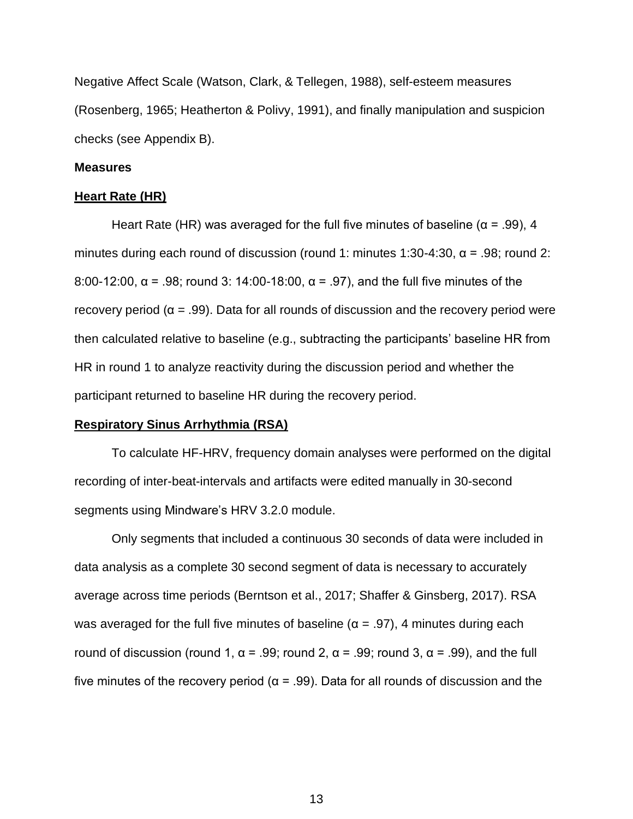Negative Affect Scale (Watson, Clark, & Tellegen, 1988), self-esteem measures (Rosenberg, 1965; Heatherton & Polivy, 1991), and finally manipulation and suspicion checks (see Appendix B).

#### **Measures**

#### **Heart Rate (HR)**

Heart Rate (HR) was averaged for the full five minutes of baseline ( $\alpha$  = .99), 4 minutes during each round of discussion (round 1: minutes 1:30-4:30,  $\alpha$  = .98; round 2: 8:00-12:00, α = .98; round 3: 14:00-18:00, α = .97), and the full five minutes of the recovery period ( $\alpha = .99$ ). Data for all rounds of discussion and the recovery period were then calculated relative to baseline (e.g., subtracting the participants' baseline HR from HR in round 1 to analyze reactivity during the discussion period and whether the participant returned to baseline HR during the recovery period.

#### **Respiratory Sinus Arrhythmia (RSA)**

To calculate HF-HRV, frequency domain analyses were performed on the digital recording of inter-beat-intervals and artifacts were edited manually in 30-second segments using Mindware's HRV 3.2.0 module.

Only segments that included a continuous 30 seconds of data were included in data analysis as a complete 30 second segment of data is necessary to accurately average across time periods (Berntson et al., 2017; Shaffer & Ginsberg, 2017). RSA was averaged for the full five minutes of baseline ( $\alpha$  = .97), 4 minutes during each round of discussion (round 1,  $\alpha$  = .99; round 2,  $\alpha$  = .99; round 3,  $\alpha$  = .99), and the full five minutes of the recovery period (α = .99). Data for all rounds of discussion and the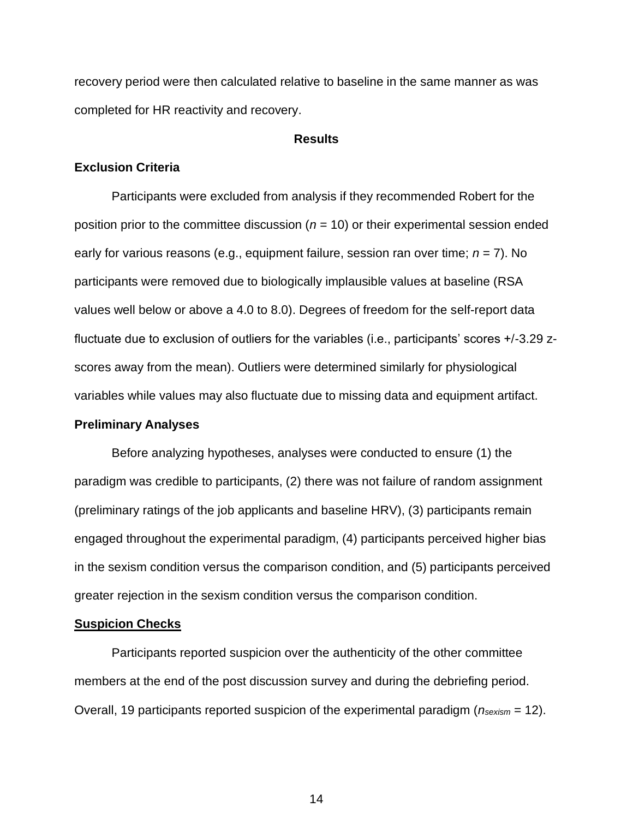recovery period were then calculated relative to baseline in the same manner as was completed for HR reactivity and recovery.

#### **Results**

#### **Exclusion Criteria**

Participants were excluded from analysis if they recommended Robert for the position prior to the committee discussion (*n* = 10) or their experimental session ended early for various reasons (e.g., equipment failure, session ran over time; *n* = 7). No participants were removed due to biologically implausible values at baseline (RSA values well below or above a 4.0 to 8.0). Degrees of freedom for the self-report data fluctuate due to exclusion of outliers for the variables (i.e., participants' scores +/-3.29 zscores away from the mean). Outliers were determined similarly for physiological variables while values may also fluctuate due to missing data and equipment artifact.

#### **Preliminary Analyses**

Before analyzing hypotheses, analyses were conducted to ensure (1) the paradigm was credible to participants, (2) there was not failure of random assignment (preliminary ratings of the job applicants and baseline HRV), (3) participants remain engaged throughout the experimental paradigm, (4) participants perceived higher bias in the sexism condition versus the comparison condition, and (5) participants perceived greater rejection in the sexism condition versus the comparison condition.

#### **Suspicion Checks**

Participants reported suspicion over the authenticity of the other committee members at the end of the post discussion survey and during the debriefing period. Overall, 19 participants reported suspicion of the experimental paradigm (*nsexism* = 12).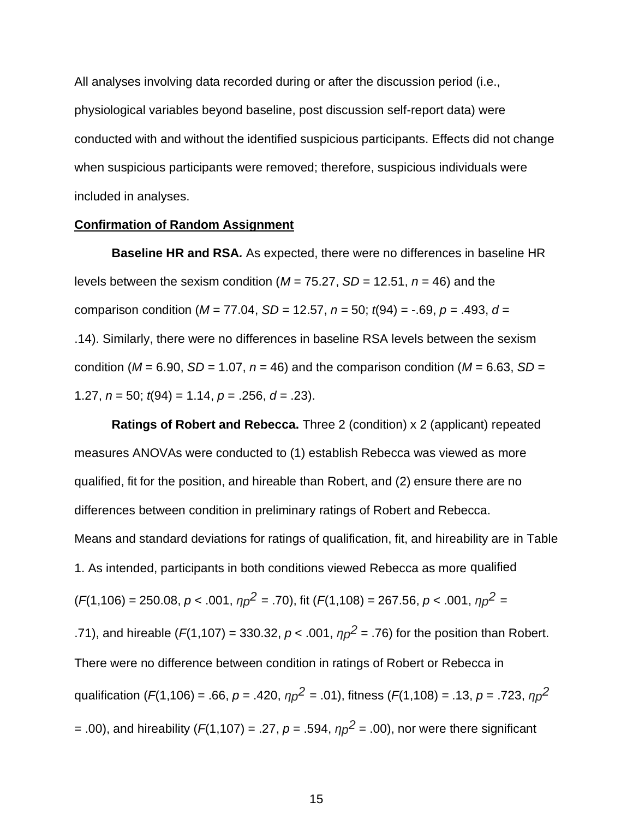All analyses involving data recorded during or after the discussion period (i.e., physiological variables beyond baseline, post discussion self-report data) were conducted with and without the identified suspicious participants. Effects did not change when suspicious participants were removed; therefore, suspicious individuals were included in analyses.

#### **Confirmation of Random Assignment**

**Baseline HR and RSA***.* As expected, there were no differences in baseline HR levels between the sexism condition ( $M = 75.27$ ,  $SD = 12.51$ ,  $n = 46$ ) and the comparison condition (*M* = 77.04, *SD* = 12.57, *n* = 50; *t*(94) = -.69, *p* = .493, *d* = .14). Similarly, there were no differences in baseline RSA levels between the sexism condition ( $M = 6.90$ ,  $SD = 1.07$ ,  $n = 46$ ) and the comparison condition ( $M = 6.63$ ,  $SD =$ 1.27, *n* = 50; *t*(94) = 1.14, *p* = .256, *d* = .23).

**Ratings of Robert and Rebecca.** Three 2 (condition) x 2 (applicant) repeated measures ANOVAs were conducted to (1) establish Rebecca was viewed as more qualified, fit for the position, and hireable than Robert, and (2) ensure there are no differences between condition in preliminary ratings of Robert and Rebecca. Means and standard deviations for ratings of qualification, fit, and hireability are in Table 1. As intended, participants in both conditions viewed Rebecca as more qualified  $(F(1, 106) = 250.08, p < .001, \eta p^2 = .70)$ , fit  $(F(1, 108) = 267.56, p < .001, \eta p^2 =$ .71), and hireable ( $F(1,107) = 330.32$ ,  $p < .001$ ,  $\eta p^2 = .76$ ) for the position than Robert. There were no difference between condition in ratings of Robert or Rebecca in qualification (*F*(1,106) = .66, *p* = .420, *ηp 2* = .01), fitness (*F*(1,108) = .13, *p* = .723, *ηp 2* = .00), and hireability ( $F(1,107)$  = .27,  $p$  = .594,  $\eta p^2$  = .00), nor were there significant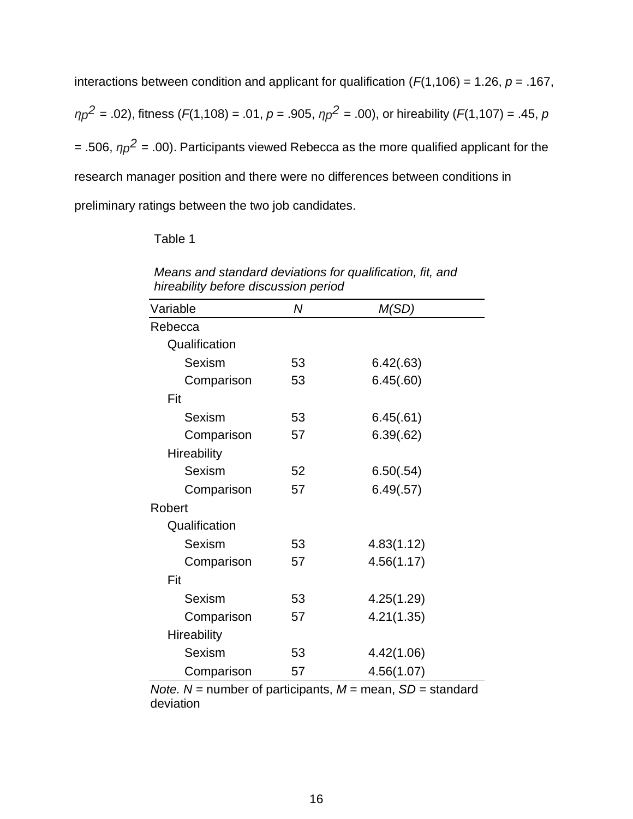interactions between condition and applicant for qualification  $(F(1,106) = 1.26, p = .167,$ *ηp 2* = .02), fitness (*F*(1,108) = .01, *p* = .905, *ηp 2* = .00), or hireability (*F*(1,107) = .45, *p*  $=$  .506,  $\eta p^2$  = .00). Participants viewed Rebecca as the more qualified applicant for the research manager position and there were no differences between conditions in preliminary ratings between the two job candidates.

Table 1

| Variable           | Ν  | M(SD)      |
|--------------------|----|------------|
| Rebecca            |    |            |
| Qualification      |    |            |
| Sexism             | 53 | 6.42(.63)  |
| Comparison         | 53 | 6.45(.60)  |
| Fit                |    |            |
| Sexism             | 53 | 6.45(.61)  |
| Comparison         | 57 | 6.39(.62)  |
| <b>Hireability</b> |    |            |
| <b>Sexism</b>      | 52 | 6.50(.54)  |
| Comparison         | 57 | 6.49(.57)  |
| Robert             |    |            |
| Qualification      |    |            |
| Sexism             | 53 | 4.83(1.12) |
| Comparison         | 57 | 4.56(1.17) |
| Fit                |    |            |
| Sexism             | 53 | 4.25(1.29) |
| Comparison         | 57 | 4.21(1.35) |
| <b>Hireability</b> |    |            |
| Sexism             | 53 | 4.42(1.06) |
| Comparison         | 57 | 4.56(1.07) |

*Means and standard deviations for qualification, fit, and hireability before discussion period*

*Note. N* = number of participants, *M* = mean, *SD* = standard deviation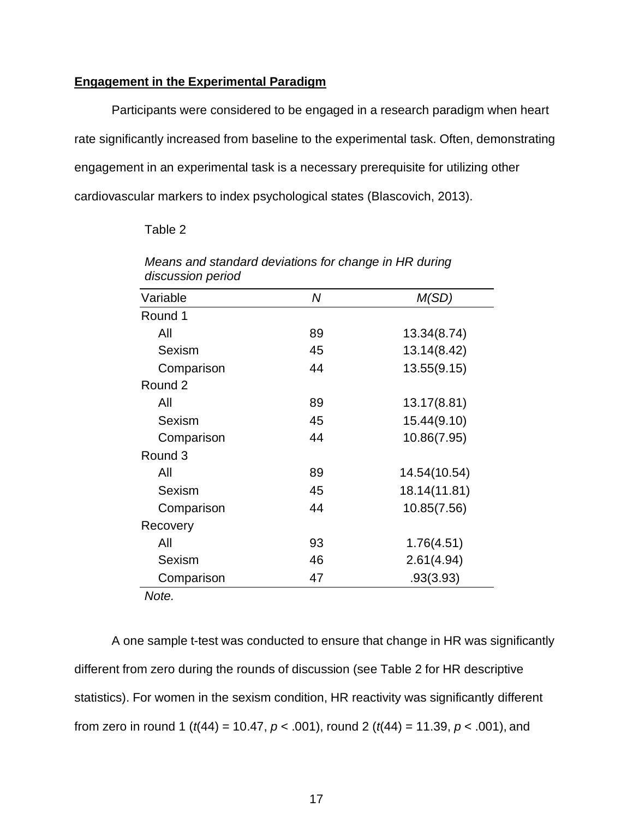#### **Engagement in the Experimental Paradigm**

Participants were considered to be engaged in a research paradigm when heart rate significantly increased from baseline to the experimental task. Often, demonstrating engagement in an experimental task is a necessary prerequisite for utilizing other cardiovascular markers to index psychological states (Blascovich, 2013).

#### Table 2

| ulscussion peniod |    |              |
|-------------------|----|--------------|
| Variable          | N  | M(SD)        |
| Round 1           |    |              |
| All               | 89 | 13.34(8.74)  |
| Sexism            | 45 | 13.14(8.42)  |
| Comparison        | 44 | 13.55(9.15)  |
| Round 2           |    |              |
| All               | 89 | 13.17(8.81)  |
| Sexism            | 45 | 15.44(9.10)  |
| Comparison        | 44 | 10.86(7.95)  |
| Round 3           |    |              |
| All               | 89 | 14.54(10.54) |
| Sexism            | 45 | 18.14(11.81) |
| Comparison        | 44 | 10.85(7.56)  |
| Recovery          |    |              |
| All               | 93 | 1.76(4.51)   |
| Sexism            | 46 | 2.61(4.94)   |
| Comparison        | 47 | .93(3.93)    |
| Note.             |    |              |

*Means and standard deviations for change in HR during discussion period*

A one sample t-test was conducted to ensure that change in HR was significantly different from zero during the rounds of discussion (see Table 2 for HR descriptive statistics). For women in the sexism condition, HR reactivity was significantly different from zero in round 1 (*t*(44) = 10.47, *p* < .001), round 2 (*t*(44) = 11.39, *p* < .001), and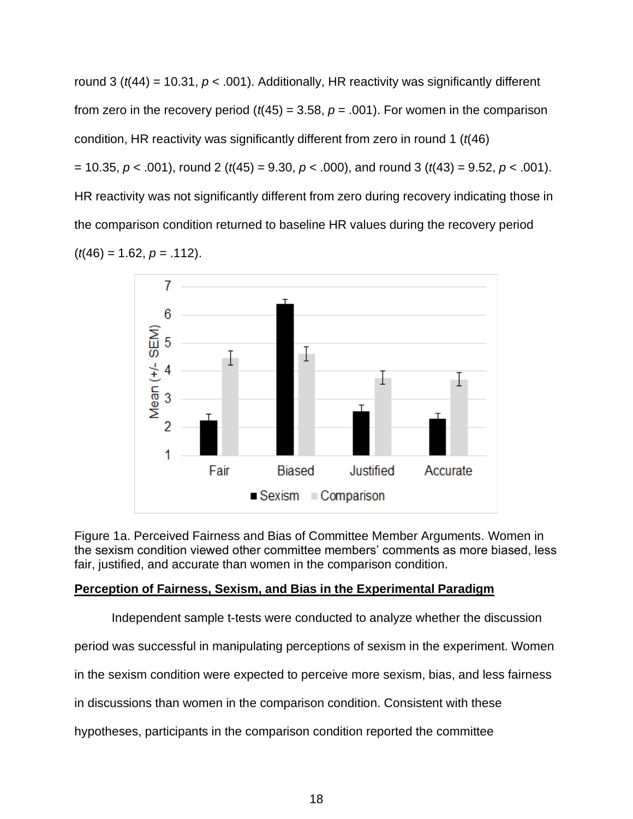round 3 (*t*(44) = 10.31, *p* < .001). Additionally, HR reactivity was significantly different from zero in the recovery period  $(t(45) = 3.58, p = .001)$ . For women in the comparison condition, HR reactivity was significantly different from zero in round 1 (*t*(46) = 10.35, *p* < .001), round 2 (*t*(45) = 9.30, *p* < .000), and round 3 (*t*(43) = 9.52, *p* < .001). HR reactivity was not significantly different from zero during recovery indicating those in the comparison condition returned to baseline HR values during the recovery period  $(t(46) = 1.62, p = .112)$ .



Figure 1a. Perceived Fairness and Bias of Committee Member Arguments. Women in the sexism condition viewed other committee members' comments as more biased, less fair, justified, and accurate than women in the comparison condition.

## **Perception of Fairness, Sexism, and Bias in the Experimental Paradigm**

Independent sample t-tests were conducted to analyze whether the discussion

period was successful in manipulating perceptions of sexism in the experiment. Women

in the sexism condition were expected to perceive more sexism, bias, and less fairness

in discussions than women in the comparison condition. Consistent with these

hypotheses, participants in the comparison condition reported the committee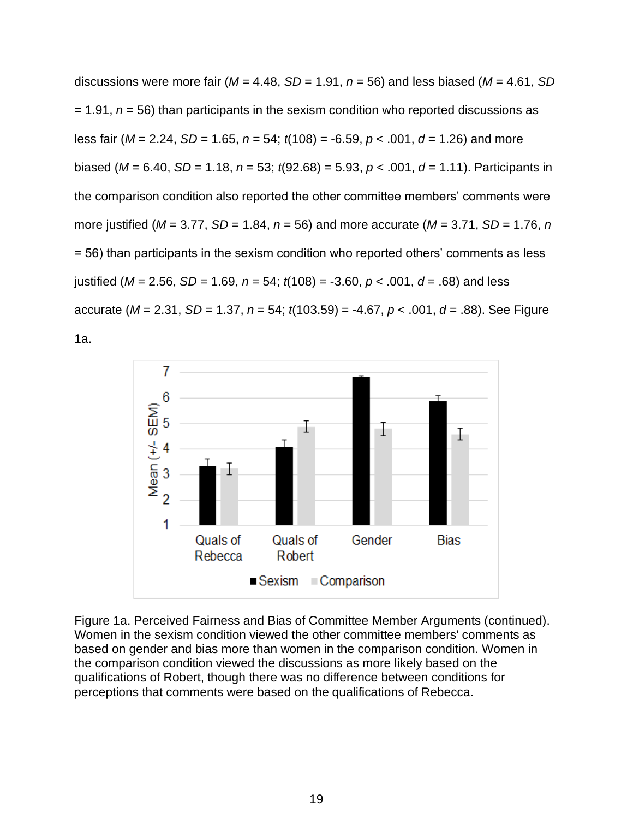discussions were more fair ( $M = 4.48$ ,  $SD = 1.91$ ,  $n = 56$ ) and less biased ( $M = 4.61$ , SD = 1.91, *n* = 56) than participants in the sexism condition who reported discussions as less fair (*M* = 2.24, *SD* = 1.65, *n* = 54; *t*(108) = -6.59, *p* < .001, *d* = 1.26) and more biased (*M* = 6.40, *SD* = 1.18, *n* = 53; *t*(92.68) = 5.93, *p* < .001, *d* = 1.11). Participants in the comparison condition also reported the other committee members' comments were more justified (*M* = 3.77, *SD* = 1.84, *n* = 56) and more accurate (*M* = 3.71, *SD* = 1.76, *n* = 56) than participants in the sexism condition who reported others' comments as less justified (*M* = 2.56, *SD* = 1.69, *n* = 54; *t*(108) = -3.60, *p* < .001, *d* = .68) and less accurate (*M* = 2.31, *SD* = 1.37, *n* = 54; *t*(103.59) = -4.67, *p* < .001, *d* = .88). See Figure 1a.



Figure 1a. Perceived Fairness and Bias of Committee Member Arguments (continued). Women in the sexism condition viewed the other committee members' comments as based on gender and bias more than women in the comparison condition. Women in the comparison condition viewed the discussions as more likely based on the qualifications of Robert, though there was no difference between conditions for perceptions that comments were based on the qualifications of Rebecca.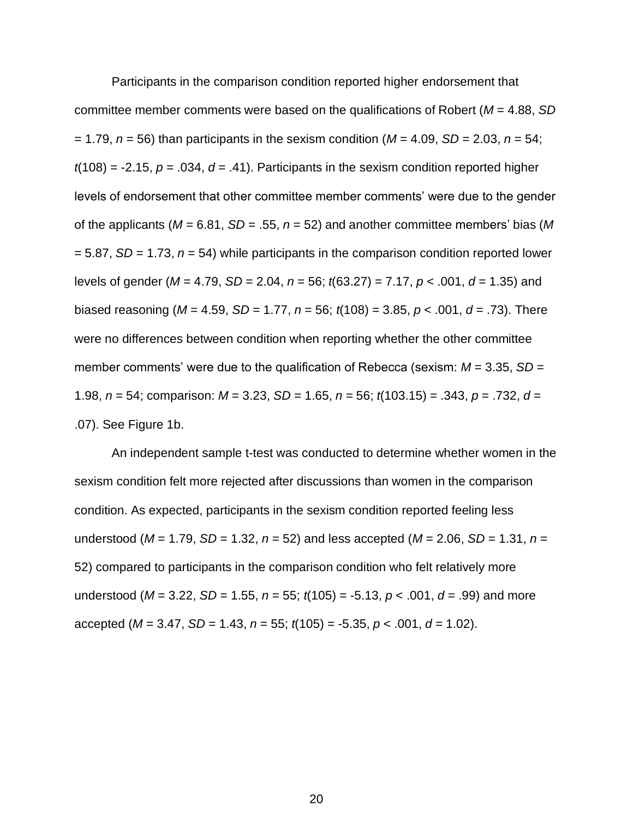Participants in the comparison condition reported higher endorsement that committee member comments were based on the qualifications of Robert (*M* = 4.88, *SD* = 1.79, *n* = 56) than participants in the sexism condition (*M* = 4.09, *SD* = 2.03, *n* = 54;  $t(108) = -2.15$ ,  $p = .034$ ,  $d = .41$ ). Participants in the sexism condition reported higher levels of endorsement that other committee member comments' were due to the gender of the applicants (*M* = 6.81, *SD* = .55, *n* = 52) and another committee members' bias (*M* = 5.87, *SD* = 1.73, *n* = 54) while participants in the comparison condition reported lower levels of gender (*M* = 4.79, *SD* = 2.04, *n* = 56; *t*(63.27) = 7.17, *p* < .001, *d* = 1.35) and biased reasoning (*M* = 4.59, *SD* = 1.77, *n* = 56; *t*(108) = 3.85, *p* < .001, *d* = .73). There were no differences between condition when reporting whether the other committee member comments' were due to the qualification of Rebecca (sexism: *M* = 3.35, *SD* = 1.98, *n* = 54; comparison: *M* = 3.23, *SD* = 1.65, *n* = 56; *t*(103.15) = .343, *p* = .732, *d* = .07). See Figure 1b.

An independent sample t-test was conducted to determine whether women in the sexism condition felt more rejected after discussions than women in the comparison condition. As expected, participants in the sexism condition reported feeling less understood (*M* = 1.79, *SD* = 1.32, *n* = 52) and less accepted (*M* = 2.06, *SD* = 1.31, *n* = 52) compared to participants in the comparison condition who felt relatively more understood (*M* = 3.22, *SD* = 1.55, *n* = 55; *t*(105) = -5.13, *p* < .001, *d* = .99) and more accepted (*M* = 3.47, *SD* = 1.43, *n* = 55; *t*(105) = -5.35, *p* < .001, *d* = 1.02).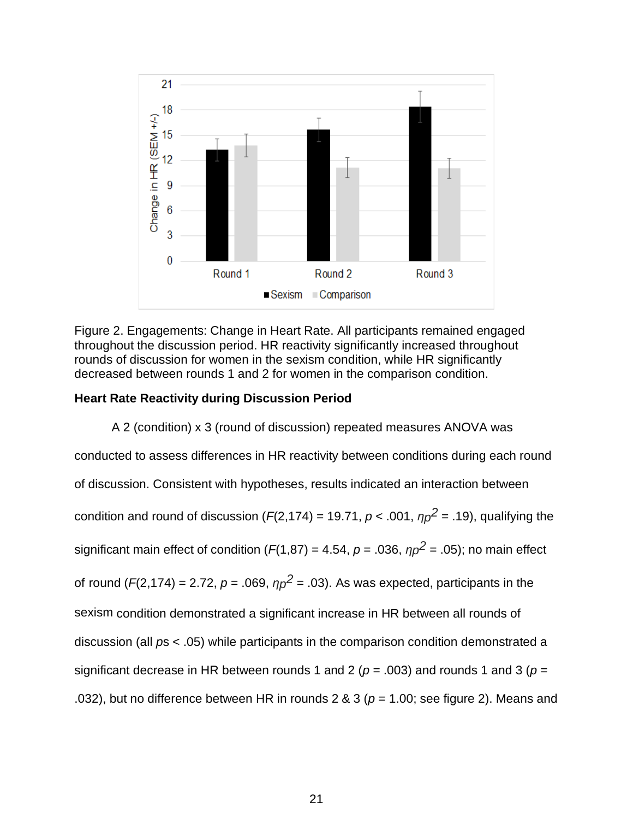

Figure 2. Engagements: Change in Heart Rate. All participants remained engaged throughout the discussion period. HR reactivity significantly increased throughout rounds of discussion for women in the sexism condition, while HR significantly decreased between rounds 1 and 2 for women in the comparison condition.

## **Heart Rate Reactivity during Discussion Period**

A 2 (condition) x 3 (round of discussion) repeated measures ANOVA was conducted to assess differences in HR reactivity between conditions during each round of discussion. Consistent with hypotheses, results indicated an interaction between condition and round of discussion ( $F(2,174)$  = 19.71,  $p$  < .001,  $\eta p^2$  = .19), qualifying the significant main effect of condition ( $F(1,87) = 4.54$ ,  $p = .036$ ,  $np^2 = .05$ ); no main effect of round ( $F(2,174) = 2.72$ ,  $p = .069$ ,  $\eta p^2 = .03$ ). As was expected, participants in the sexism condition demonstrated a significant increase in HR between all rounds of discussion (all *p*s < .05) while participants in the comparison condition demonstrated a significant decrease in HR between rounds 1 and 2 (*p* = .003) and rounds 1 and 3 (*p* = .032), but no difference between HR in rounds 2 & 3 (*p* = 1.00; see figure 2). Means and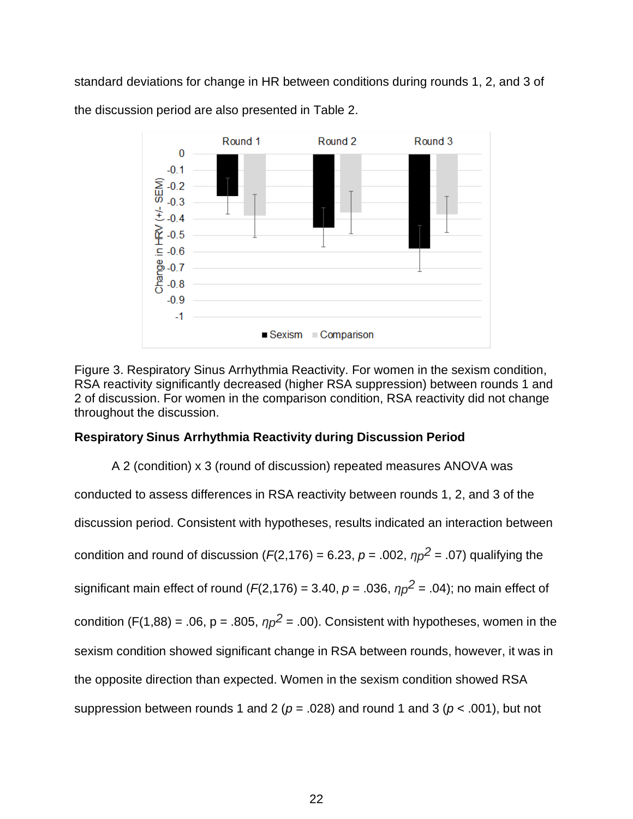standard deviations for change in HR between conditions during rounds 1, 2, and 3 of



the discussion period are also presented in Table 2.

Figure 3. Respiratory Sinus Arrhythmia Reactivity. For women in the sexism condition, RSA reactivity significantly decreased (higher RSA suppression) between rounds 1 and 2 of discussion. For women in the comparison condition, RSA reactivity did not change throughout the discussion.

## **Respiratory Sinus Arrhythmia Reactivity during Discussion Period**

A 2 (condition) x 3 (round of discussion) repeated measures ANOVA was conducted to assess differences in RSA reactivity between rounds 1, 2, and 3 of the discussion period. Consistent with hypotheses, results indicated an interaction between condition and round of discussion ( $F(2,176) = 6.23$ ,  $p = .002$ ,  $\eta p^2 = .07$ ) qualifying the significant main effect of round (*F*(2,176) = 3.40, *p* = .036,  $\eta p^2$  = .04); no main effect of condition (F(1,88) = .06, p = .805,  $\eta p^2$  = .00). Consistent with hypotheses, women in the sexism condition showed significant change in RSA between rounds, however, it was in the opposite direction than expected. Women in the sexism condition showed RSA suppression between rounds 1 and 2 (*p* = .028) and round 1 and 3 (*p* < .001), but not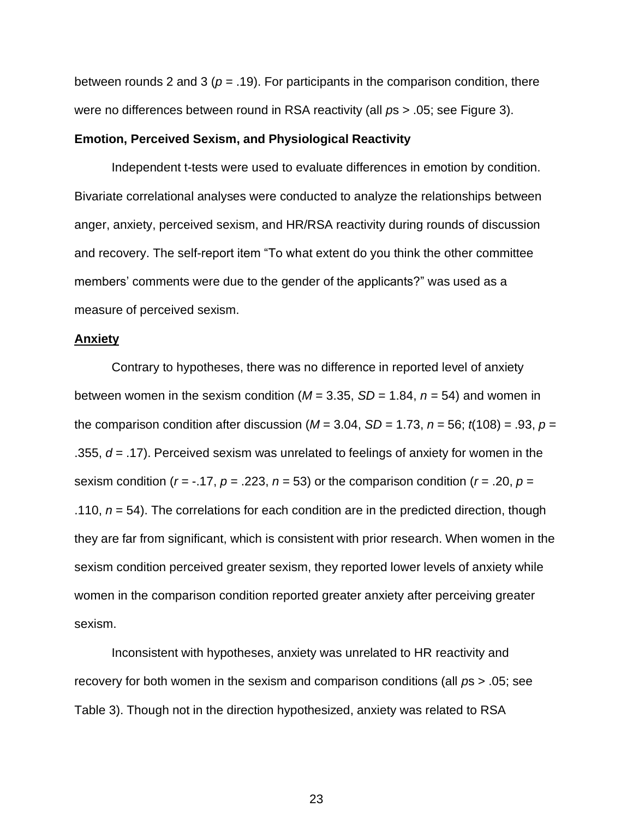between rounds 2 and 3 ( $p = .19$ ). For participants in the comparison condition, there were no differences between round in RSA reactivity (all *p*s > .05; see Figure 3).

#### **Emotion, Perceived Sexism, and Physiological Reactivity**

Independent t-tests were used to evaluate differences in emotion by condition. Bivariate correlational analyses were conducted to analyze the relationships between anger, anxiety, perceived sexism, and HR/RSA reactivity during rounds of discussion and recovery. The self-report item "To what extent do you think the other committee members' comments were due to the gender of the applicants?" was used as a measure of perceived sexism.

#### **Anxiety**

Contrary to hypotheses, there was no difference in reported level of anxiety between women in the sexism condition ( $M = 3.35$ ,  $SD = 1.84$ ,  $n = 54$ ) and women in the comparison condition after discussion ( $M = 3.04$ ,  $SD = 1.73$ ,  $n = 56$ ;  $t(108) = .93$ ,  $p =$ .355, *d* = .17). Perceived sexism was unrelated to feelings of anxiety for women in the sexism condition ( $r = -.17$ ,  $p = .223$ ,  $n = 53$ ) or the comparison condition ( $r = .20$ ,  $p =$ .110,  $n = 54$ ). The correlations for each condition are in the predicted direction, though they are far from significant, which is consistent with prior research. When women in the sexism condition perceived greater sexism, they reported lower levels of anxiety while women in the comparison condition reported greater anxiety after perceiving greater sexism.

Inconsistent with hypotheses, anxiety was unrelated to HR reactivity and recovery for both women in the sexism and comparison conditions (all *p*s > .05; see Table 3). Though not in the direction hypothesized, anxiety was related to RSA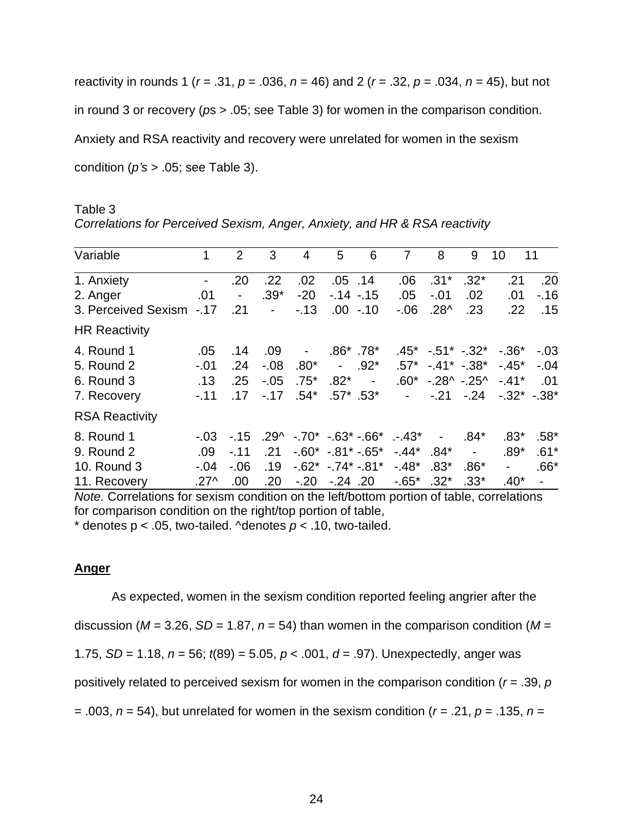reactivity in rounds 1 (*r* = .31, *p* = .036, *n* = 46) and 2 (*r* = .32, *p* = .034, *n* = 45), but not in round 3 or recovery (*p*s > .05; see Table 3) for women in the comparison condition. Anxiety and RSA reactivity and recovery were unrelated for women in the sexism condition (*p's* > .05; see Table 3).

Table 3 *Correlations for Perceived Sexism, Anger, Anxiety, and HR & RSA reactivity*

| Variable              | 1              | 2       | 3                        | 4      | 5                             | 6           | 7                                      | 8                        | 9                        | 10                        | 11             |
|-----------------------|----------------|---------|--------------------------|--------|-------------------------------|-------------|----------------------------------------|--------------------------|--------------------------|---------------------------|----------------|
| 1. Anxiety            | $\blacksquare$ | .20     | .22                      | .02    | $.05$ .14                     |             | .06                                    | $.31*$                   | $.32*$                   | .21                       | .20            |
| 2. Anger              | .01            |         | $.39*$                   | $-20$  | $-14 - 15$                    |             | .05                                    | $-.01$                   | .02                      | .01                       | $-16$          |
| 3. Perceived Sexism   | $-.17$         | .21     | $\overline{\phantom{a}}$ | $-13$  |                               | $.00 - .10$ | $-0.06$                                | $.28^{\wedge}$           | .23                      | .22                       | .15            |
| <b>HR Reactivity</b>  |                |         |                          |        |                               |             |                                        |                          |                          |                           |                |
| 4. Round 1            | .05            | .14     | .09                      | $\sim$ | $.86^*$ .78*                  |             |                                        |                          |                          | $.45^*$ -.51* -.32* -.36* | $-0.03$        |
| 5. Round 2            | $-.01$         | .24     | $-0.08$                  | $.80*$ | $\blacksquare$                | $.92^*$     | .57*                                   | $-41^* - 38^*$           |                          | $-45^*$                   | $-.04$         |
| 6. Round 3            | .13            | .25     | $-.05$                   | $.75*$ | $.82*$                        | $\sim$ $-$  |                                        | $.60^*$ -.28^ -.25^      |                          | $-.41*$                   | .01            |
| 7. Recovery           | $-.11$         | .17     | $-.17$                   | $.54*$ | $.57^*$ .53*                  |             | $\sim 100$                             |                          | $-.21-.24$               | $-.32^*$ - 38*            |                |
| <b>RSA Reactivity</b> |                |         |                          |        |                               |             |                                        |                          |                          |                           |                |
| 8. Round 1            | $-.03$         | $-.15$  |                          |        |                               |             | $.29^{\circ}$ -.70* -.63* -.66* .-.43* | $\overline{\phantom{a}}$ | $.84*$                   | $.83*$                    | $.58*$         |
| 9. Round 2            | .09            | $-.11$  | .21                      |        | $-0.60^* - 0.81^* - 0.65^*$   |             | $-44*$                                 | $.84*$                   | $\overline{\phantom{a}}$ | $.89*$                    | $.61*$         |
| 10. Round 3           | $-.04$         | $-0.06$ | .19                      |        | $-0.62$ * $-0.74$ * $-0.81$ * |             | $-48*$                                 | $.83*$                   | $.86*$                   |                           | $.66*$         |
| 11. Recovery          | .27^           | .00     | .20                      | $-.20$ | $-0.24$ .20                   |             | $-65*$                                 | $.32*$                   | $.33*$                   | $.40*$                    | $\blacksquare$ |

*Note.* Correlations for sexism condition on the left/bottom portion of table, correlations for comparison condition on the right/top portion of table,

 $*$  denotes  $p < .05$ , two-tailed. ^denotes  $p < .10$ , two-tailed.

### **Anger**

As expected, women in the sexism condition reported feeling angrier after the discussion ( $M = 3.26$ ,  $SD = 1.87$ ,  $n = 54$ ) than women in the comparison condition ( $M =$ 1.75, *SD* = 1.18, *n* = 56; *t*(89) = 5.05, *p* < .001, *d* = .97). Unexpectedly, anger was positively related to perceived sexism for women in the comparison condition (*r* = .39, *p* = .003, *n* = 54), but unrelated for women in the sexism condition (*r =* .21, *p* = .135, *n* =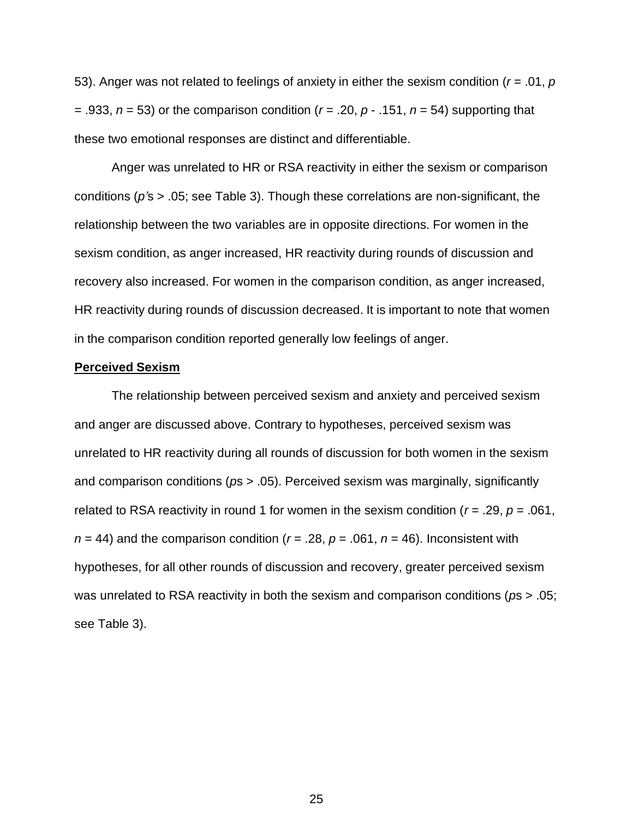53). Anger was not related to feelings of anxiety in either the sexism condition (*r* = .01, *p* = .933, *n* = 53) or the comparison condition (*r* = .20, *p* - .151, *n* = 54) supporting that these two emotional responses are distinct and differentiable.

Anger was unrelated to HR or RSA reactivity in either the sexism or comparison conditions (*p'*s > .05; see Table 3). Though these correlations are non-significant, the relationship between the two variables are in opposite directions. For women in the sexism condition, as anger increased, HR reactivity during rounds of discussion and recovery also increased. For women in the comparison condition, as anger increased, HR reactivity during rounds of discussion decreased. It is important to note that women in the comparison condition reported generally low feelings of anger.

#### **Perceived Sexism**

The relationship between perceived sexism and anxiety and perceived sexism and anger are discussed above. Contrary to hypotheses, perceived sexism was unrelated to HR reactivity during all rounds of discussion for both women in the sexism and comparison conditions (*p*s > .05). Perceived sexism was marginally, significantly related to RSA reactivity in round 1 for women in the sexism condition ( $r = .29$ ,  $p = .061$ ,  $n = 44$ ) and the comparison condition ( $r = .28$ ,  $p = .061$ ,  $n = 46$ ). Inconsistent with hypotheses, for all other rounds of discussion and recovery, greater perceived sexism was unrelated to RSA reactivity in both the sexism and comparison conditions (*p*s > .05; see Table 3).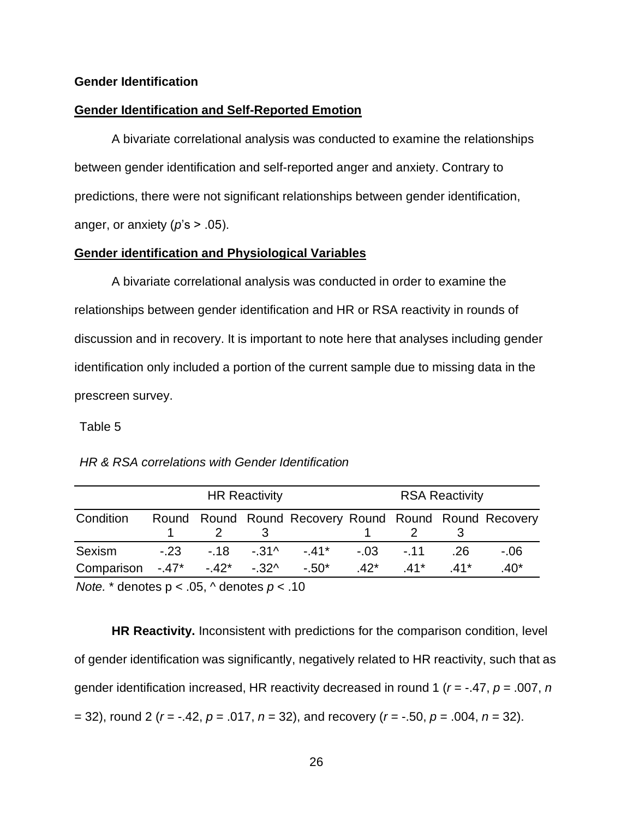#### **Gender Identification**

#### **Gender Identification and Self-Reported Emotion**

A bivariate correlational analysis was conducted to examine the relationships between gender identification and self-reported anger and anxiety. Contrary to predictions, there were not significant relationships between gender identification, anger, or anxiety  $(p's > .05)$ .

#### **Gender identification and Physiological Variables**

A bivariate correlational analysis was conducted in order to examine the relationships between gender identification and HR or RSA reactivity in rounds of discussion and in recovery. It is important to note here that analyses including gender identification only included a portion of the current sample due to missing data in the prescreen survey.

#### Table 5

|                                                                           |                  | <b>HR Reactivity</b> |                                                       | <b>RSA Reactivity</b> |  |  |        |  |
|---------------------------------------------------------------------------|------------------|----------------------|-------------------------------------------------------|-----------------------|--|--|--------|--|
| Condition                                                                 | $\overline{2}$ 3 |                      | Round Round Round Recovery Round Round Round Recovery |                       |  |  |        |  |
| Sexism                                                                    |                  |                      | -.23 -.18 -.31^ -.41* -.03 -.11 .26                   |                       |  |  | - 06   |  |
| Comparison $-.47^*$ $-.42^*$ $-.32^*$ $-.50^*$ $-.42^*$ $-.41^*$ $-.41^*$ |                  |                      |                                                       |                       |  |  | $.40*$ |  |

*HR & RSA correlations with Gender Identification* 

*Note.* \* denotes p < .05, ^ denotes *p* < .10

**HR Reactivity.** Inconsistent with predictions for the comparison condition, level of gender identification was significantly, negatively related to HR reactivity, such that as gender identification increased, HR reactivity decreased in round 1 (*r* = -.47, *p* = .007, *n* = 32), round 2 (*r* = -.42, *p* = .017, *n* = 32), and recovery (*r* = -.50, *p* = .004, *n* = 32).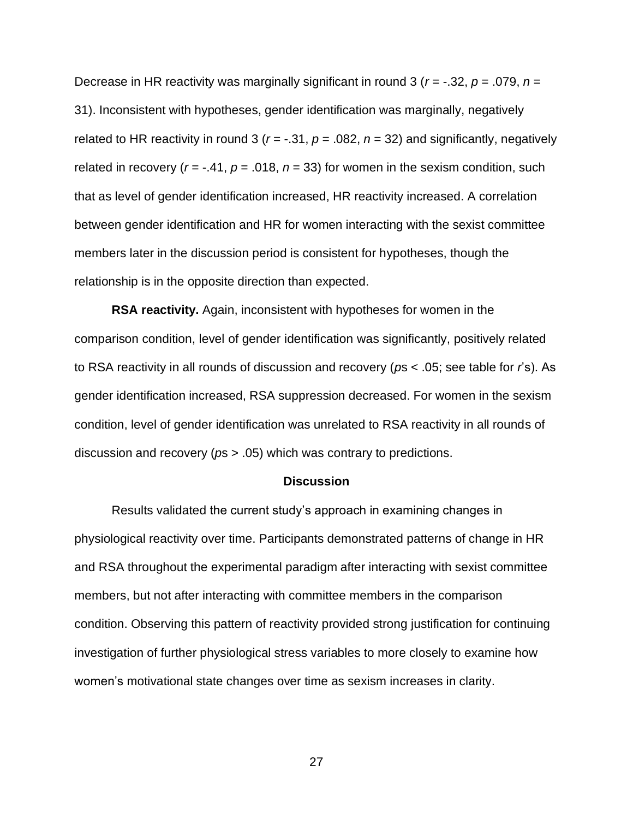Decrease in HR reactivity was marginally significant in round 3 (*r* = -.32, *p* = .079, *n* = 31). Inconsistent with hypotheses, gender identification was marginally, negatively related to HR reactivity in round 3 ( $r = -.31$ ,  $p = .082$ ,  $n = 32$ ) and significantly, negatively related in recovery ( $r = -0.41$ ,  $p = 0.018$ ,  $n = 33$ ) for women in the sexism condition, such that as level of gender identification increased, HR reactivity increased. A correlation between gender identification and HR for women interacting with the sexist committee members later in the discussion period is consistent for hypotheses, though the relationship is in the opposite direction than expected.

**RSA reactivity.** Again, inconsistent with hypotheses for women in the comparison condition, level of gender identification was significantly, positively related to RSA reactivity in all rounds of discussion and recovery (*p*s < .05; see table for *r*'s). As gender identification increased, RSA suppression decreased. For women in the sexism condition, level of gender identification was unrelated to RSA reactivity in all rounds of discussion and recovery (*p*s > .05) which was contrary to predictions.

#### **Discussion**

Results validated the current study's approach in examining changes in physiological reactivity over time. Participants demonstrated patterns of change in HR and RSA throughout the experimental paradigm after interacting with sexist committee members, but not after interacting with committee members in the comparison condition. Observing this pattern of reactivity provided strong justification for continuing investigation of further physiological stress variables to more closely to examine how women's motivational state changes over time as sexism increases in clarity.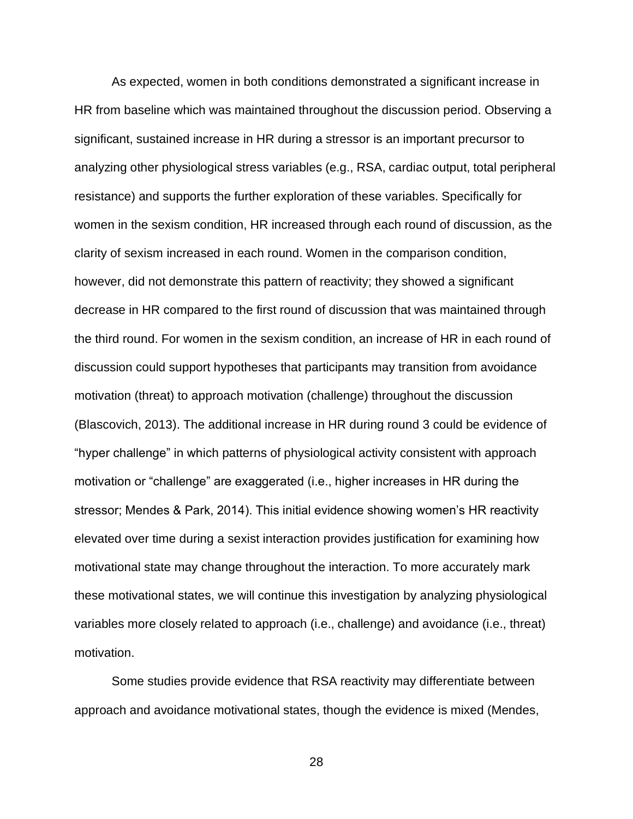As expected, women in both conditions demonstrated a significant increase in HR from baseline which was maintained throughout the discussion period. Observing a significant, sustained increase in HR during a stressor is an important precursor to analyzing other physiological stress variables (e.g., RSA, cardiac output, total peripheral resistance) and supports the further exploration of these variables. Specifically for women in the sexism condition, HR increased through each round of discussion, as the clarity of sexism increased in each round. Women in the comparison condition, however, did not demonstrate this pattern of reactivity; they showed a significant decrease in HR compared to the first round of discussion that was maintained through the third round. For women in the sexism condition, an increase of HR in each round of discussion could support hypotheses that participants may transition from avoidance motivation (threat) to approach motivation (challenge) throughout the discussion (Blascovich, 2013). The additional increase in HR during round 3 could be evidence of "hyper challenge" in which patterns of physiological activity consistent with approach motivation or "challenge" are exaggerated (i.e., higher increases in HR during the stressor; Mendes & Park, 2014). This initial evidence showing women's HR reactivity elevated over time during a sexist interaction provides justification for examining how motivational state may change throughout the interaction. To more accurately mark these motivational states, we will continue this investigation by analyzing physiological variables more closely related to approach (i.e., challenge) and avoidance (i.e., threat) motivation.

Some studies provide evidence that RSA reactivity may differentiate between approach and avoidance motivational states, though the evidence is mixed (Mendes,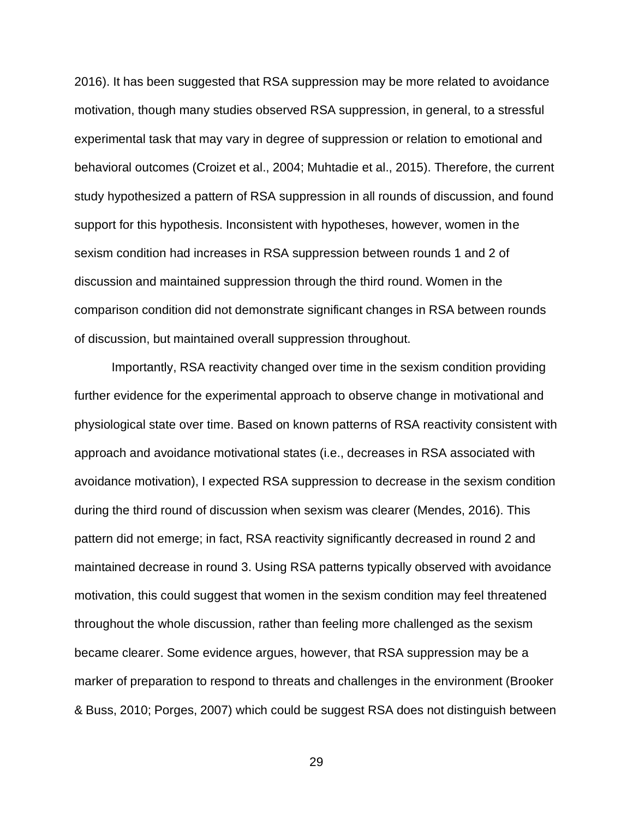2016). It has been suggested that RSA suppression may be more related to avoidance motivation, though many studies observed RSA suppression, in general, to a stressful experimental task that may vary in degree of suppression or relation to emotional and behavioral outcomes (Croizet et al., 2004; Muhtadie et al., 2015). Therefore, the current study hypothesized a pattern of RSA suppression in all rounds of discussion, and found support for this hypothesis. Inconsistent with hypotheses, however, women in the sexism condition had increases in RSA suppression between rounds 1 and 2 of discussion and maintained suppression through the third round. Women in the comparison condition did not demonstrate significant changes in RSA between rounds of discussion, but maintained overall suppression throughout.

Importantly, RSA reactivity changed over time in the sexism condition providing further evidence for the experimental approach to observe change in motivational and physiological state over time. Based on known patterns of RSA reactivity consistent with approach and avoidance motivational states (i.e., decreases in RSA associated with avoidance motivation), I expected RSA suppression to decrease in the sexism condition during the third round of discussion when sexism was clearer (Mendes, 2016). This pattern did not emerge; in fact, RSA reactivity significantly decreased in round 2 and maintained decrease in round 3. Using RSA patterns typically observed with avoidance motivation, this could suggest that women in the sexism condition may feel threatened throughout the whole discussion, rather than feeling more challenged as the sexism became clearer. Some evidence argues, however, that RSA suppression may be a marker of preparation to respond to threats and challenges in the environment (Brooker & Buss, 2010; Porges, 2007) which could be suggest RSA does not distinguish between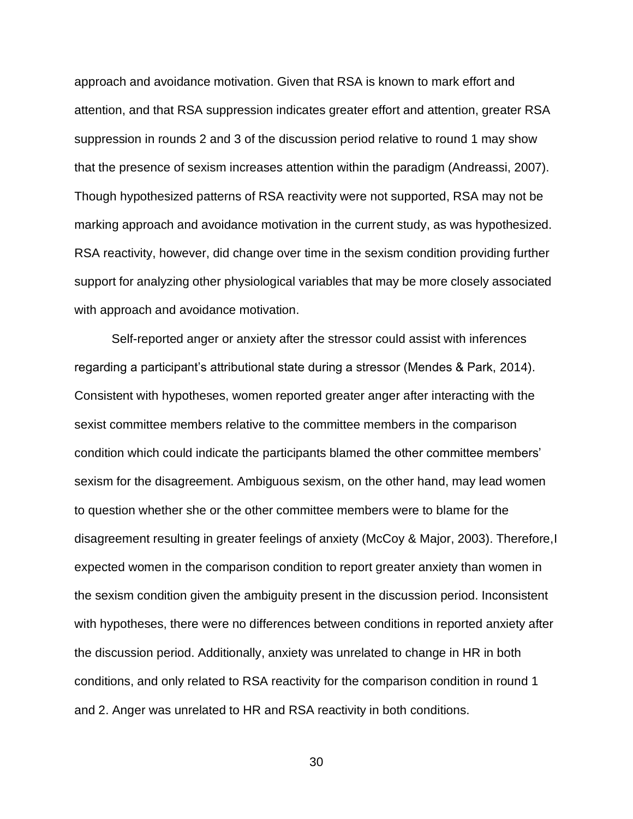approach and avoidance motivation. Given that RSA is known to mark effort and attention, and that RSA suppression indicates greater effort and attention, greater RSA suppression in rounds 2 and 3 of the discussion period relative to round 1 may show that the presence of sexism increases attention within the paradigm (Andreassi, 2007). Though hypothesized patterns of RSA reactivity were not supported, RSA may not be marking approach and avoidance motivation in the current study, as was hypothesized. RSA reactivity, however, did change over time in the sexism condition providing further support for analyzing other physiological variables that may be more closely associated with approach and avoidance motivation.

Self-reported anger or anxiety after the stressor could assist with inferences regarding a participant's attributional state during a stressor (Mendes & Park, 2014). Consistent with hypotheses, women reported greater anger after interacting with the sexist committee members relative to the committee members in the comparison condition which could indicate the participants blamed the other committee members' sexism for the disagreement. Ambiguous sexism, on the other hand, may lead women to question whether she or the other committee members were to blame for the disagreement resulting in greater feelings of anxiety (McCoy & Major, 2003). Therefore,I expected women in the comparison condition to report greater anxiety than women in the sexism condition given the ambiguity present in the discussion period. Inconsistent with hypotheses, there were no differences between conditions in reported anxiety after the discussion period. Additionally, anxiety was unrelated to change in HR in both conditions, and only related to RSA reactivity for the comparison condition in round 1 and 2. Anger was unrelated to HR and RSA reactivity in both conditions.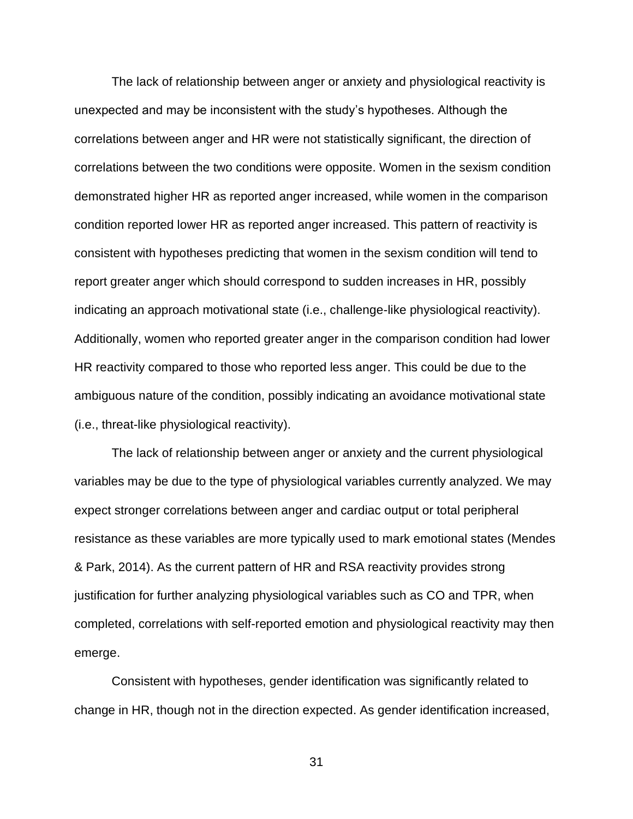The lack of relationship between anger or anxiety and physiological reactivity is unexpected and may be inconsistent with the study's hypotheses. Although the correlations between anger and HR were not statistically significant, the direction of correlations between the two conditions were opposite. Women in the sexism condition demonstrated higher HR as reported anger increased, while women in the comparison condition reported lower HR as reported anger increased. This pattern of reactivity is consistent with hypotheses predicting that women in the sexism condition will tend to report greater anger which should correspond to sudden increases in HR, possibly indicating an approach motivational state (i.e., challenge-like physiological reactivity). Additionally, women who reported greater anger in the comparison condition had lower HR reactivity compared to those who reported less anger. This could be due to the ambiguous nature of the condition, possibly indicating an avoidance motivational state (i.e., threat-like physiological reactivity).

The lack of relationship between anger or anxiety and the current physiological variables may be due to the type of physiological variables currently analyzed. We may expect stronger correlations between anger and cardiac output or total peripheral resistance as these variables are more typically used to mark emotional states (Mendes & Park, 2014). As the current pattern of HR and RSA reactivity provides strong justification for further analyzing physiological variables such as CO and TPR, when completed, correlations with self-reported emotion and physiological reactivity may then emerge.

Consistent with hypotheses, gender identification was significantly related to change in HR, though not in the direction expected. As gender identification increased,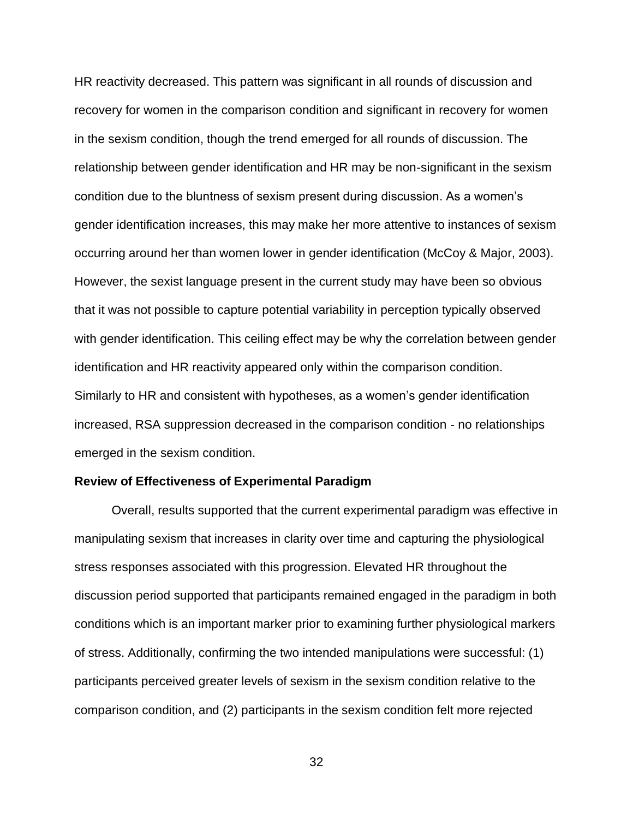HR reactivity decreased. This pattern was significant in all rounds of discussion and recovery for women in the comparison condition and significant in recovery for women in the sexism condition, though the trend emerged for all rounds of discussion. The relationship between gender identification and HR may be non-significant in the sexism condition due to the bluntness of sexism present during discussion. As a women's gender identification increases, this may make her more attentive to instances of sexism occurring around her than women lower in gender identification (McCoy & Major, 2003). However, the sexist language present in the current study may have been so obvious that it was not possible to capture potential variability in perception typically observed with gender identification. This ceiling effect may be why the correlation between gender identification and HR reactivity appeared only within the comparison condition. Similarly to HR and consistent with hypotheses, as a women's gender identification increased, RSA suppression decreased in the comparison condition - no relationships emerged in the sexism condition.

#### **Review of Effectiveness of Experimental Paradigm**

Overall, results supported that the current experimental paradigm was effective in manipulating sexism that increases in clarity over time and capturing the physiological stress responses associated with this progression. Elevated HR throughout the discussion period supported that participants remained engaged in the paradigm in both conditions which is an important marker prior to examining further physiological markers of stress. Additionally, confirming the two intended manipulations were successful: (1) participants perceived greater levels of sexism in the sexism condition relative to the comparison condition, and (2) participants in the sexism condition felt more rejected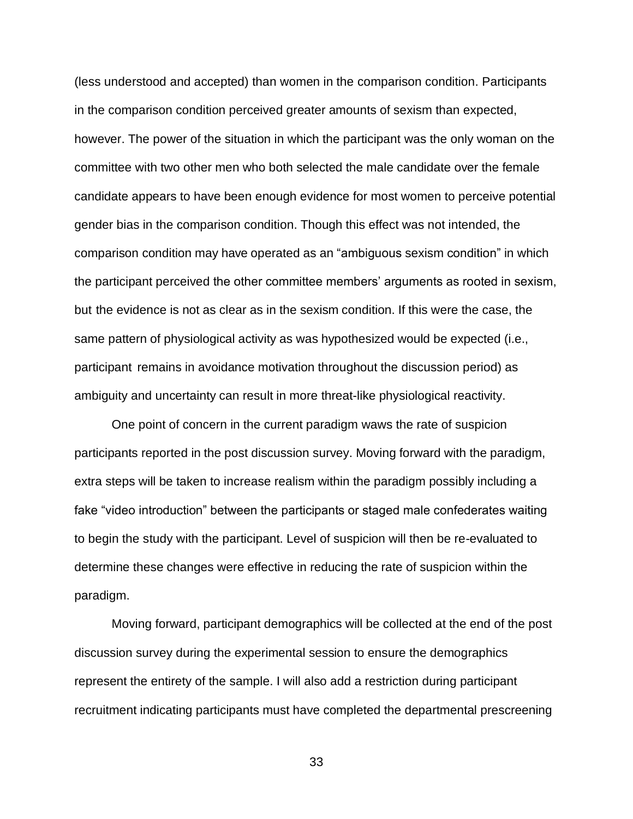(less understood and accepted) than women in the comparison condition. Participants in the comparison condition perceived greater amounts of sexism than expected, however. The power of the situation in which the participant was the only woman on the committee with two other men who both selected the male candidate over the female candidate appears to have been enough evidence for most women to perceive potential gender bias in the comparison condition. Though this effect was not intended, the comparison condition may have operated as an "ambiguous sexism condition" in which the participant perceived the other committee members' arguments as rooted in sexism, but the evidence is not as clear as in the sexism condition. If this were the case, the same pattern of physiological activity as was hypothesized would be expected (i.e., participant remains in avoidance motivation throughout the discussion period) as ambiguity and uncertainty can result in more threat-like physiological reactivity.

One point of concern in the current paradigm waws the rate of suspicion participants reported in the post discussion survey. Moving forward with the paradigm, extra steps will be taken to increase realism within the paradigm possibly including a fake "video introduction" between the participants or staged male confederates waiting to begin the study with the participant. Level of suspicion will then be re-evaluated to determine these changes were effective in reducing the rate of suspicion within the paradigm.

Moving forward, participant demographics will be collected at the end of the post discussion survey during the experimental session to ensure the demographics represent the entirety of the sample. I will also add a restriction during participant recruitment indicating participants must have completed the departmental prescreening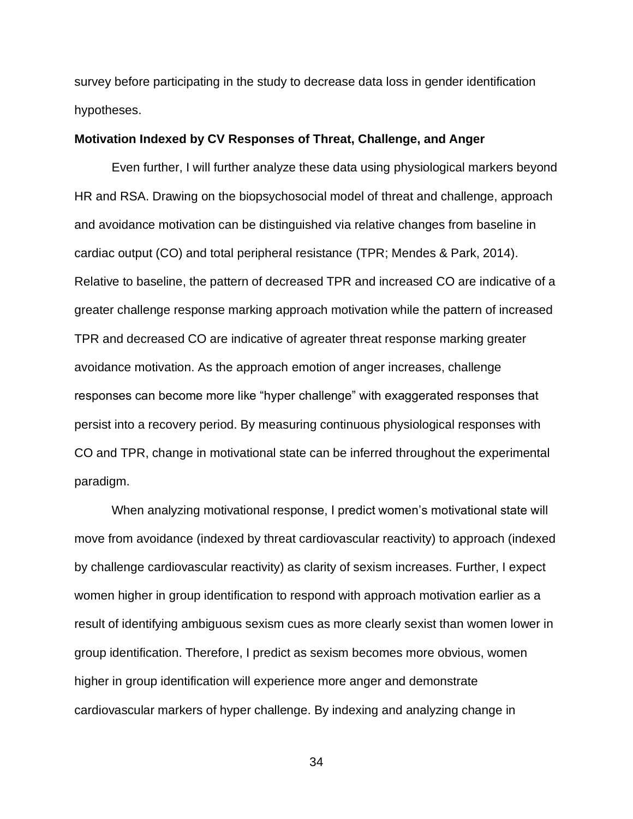survey before participating in the study to decrease data loss in gender identification hypotheses.

#### **Motivation Indexed by CV Responses of Threat, Challenge, and Anger**

Even further, I will further analyze these data using physiological markers beyond HR and RSA. Drawing on the biopsychosocial model of threat and challenge, approach and avoidance motivation can be distinguished via relative changes from baseline in cardiac output (CO) and total peripheral resistance (TPR; Mendes & Park, 2014). Relative to baseline, the pattern of decreased TPR and increased CO are indicative of a greater challenge response marking approach motivation while the pattern of increased TPR and decreased CO are indicative of agreater threat response marking greater avoidance motivation. As the approach emotion of anger increases, challenge responses can become more like "hyper challenge" with exaggerated responses that persist into a recovery period. By measuring continuous physiological responses with CO and TPR, change in motivational state can be inferred throughout the experimental paradigm.

When analyzing motivational response, I predict women's motivational state will move from avoidance (indexed by threat cardiovascular reactivity) to approach (indexed by challenge cardiovascular reactivity) as clarity of sexism increases. Further, I expect women higher in group identification to respond with approach motivation earlier as a result of identifying ambiguous sexism cues as more clearly sexist than women lower in group identification. Therefore, I predict as sexism becomes more obvious, women higher in group identification will experience more anger and demonstrate cardiovascular markers of hyper challenge. By indexing and analyzing change in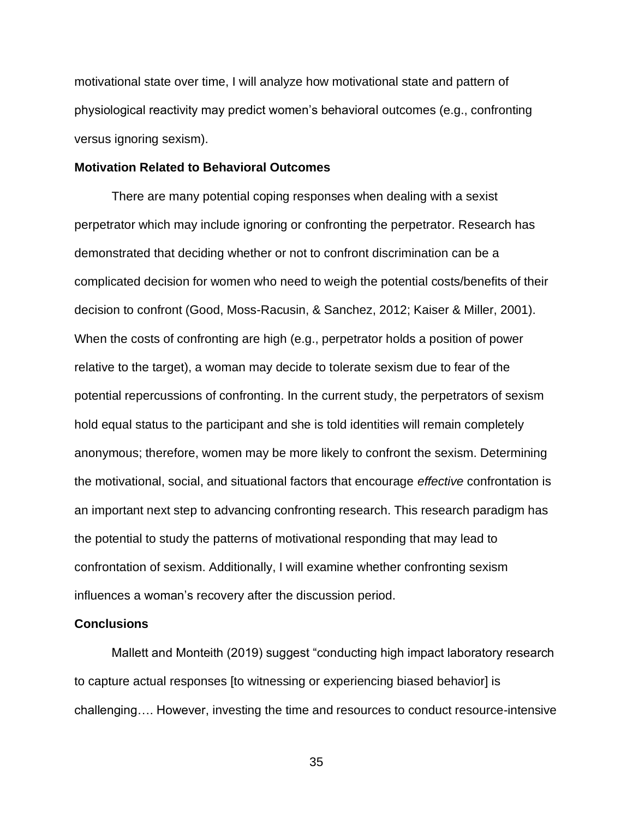motivational state over time, I will analyze how motivational state and pattern of physiological reactivity may predict women's behavioral outcomes (e.g., confronting versus ignoring sexism).

#### **Motivation Related to Behavioral Outcomes**

There are many potential coping responses when dealing with a sexist perpetrator which may include ignoring or confronting the perpetrator. Research has demonstrated that deciding whether or not to confront discrimination can be a complicated decision for women who need to weigh the potential costs/benefits of their decision to confront (Good, Moss-Racusin, & Sanchez, 2012; Kaiser & Miller, 2001). When the costs of confronting are high (e.g., perpetrator holds a position of power relative to the target), a woman may decide to tolerate sexism due to fear of the potential repercussions of confronting. In the current study, the perpetrators of sexism hold equal status to the participant and she is told identities will remain completely anonymous; therefore, women may be more likely to confront the sexism. Determining the motivational, social, and situational factors that encourage *effective* confrontation is an important next step to advancing confronting research. This research paradigm has the potential to study the patterns of motivational responding that may lead to confrontation of sexism. Additionally, I will examine whether confronting sexism influences a woman's recovery after the discussion period.

#### **Conclusions**

Mallett and Monteith (2019) suggest "conducting high impact laboratory research to capture actual responses [to witnessing or experiencing biased behavior] is challenging…. However, investing the time and resources to conduct resource-intensive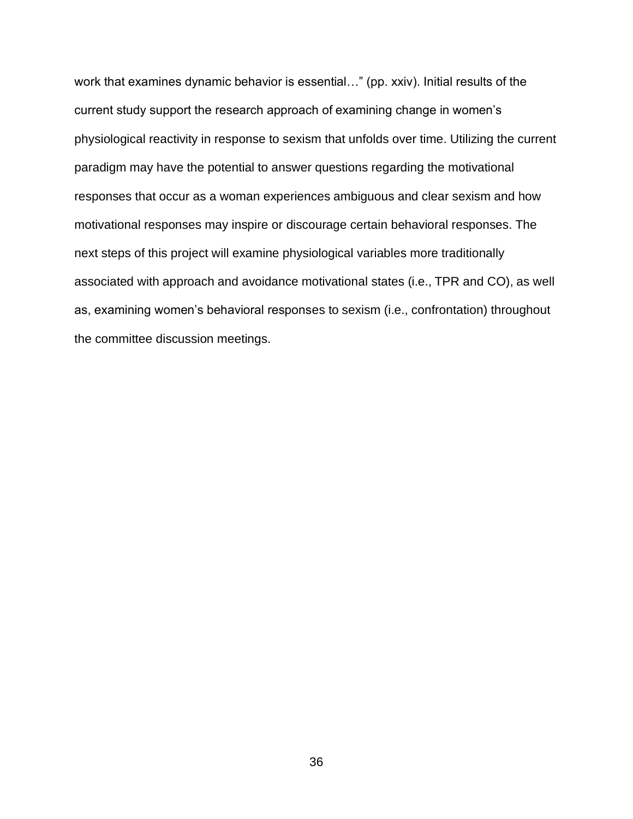work that examines dynamic behavior is essential…" (pp. xxiv). Initial results of the current study support the research approach of examining change in women's physiological reactivity in response to sexism that unfolds over time. Utilizing the current paradigm may have the potential to answer questions regarding the motivational responses that occur as a woman experiences ambiguous and clear sexism and how motivational responses may inspire or discourage certain behavioral responses. The next steps of this project will examine physiological variables more traditionally associated with approach and avoidance motivational states (i.e., TPR and CO), as well as, examining women's behavioral responses to sexism (i.e., confrontation) throughout the committee discussion meetings.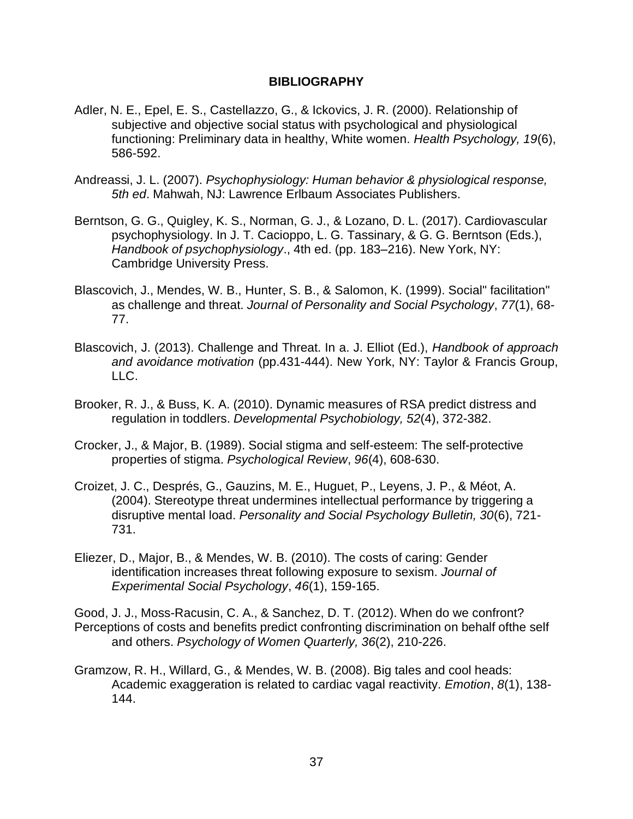### **BIBLIOGRAPHY**

- Adler, N. E., Epel, E. S., Castellazzo, G., & Ickovics, J. R. (2000). Relationship of subjective and objective social status with psychological and physiological functioning: Preliminary data in healthy, White women. *Health Psychology, 19*(6), 586-592.
- Andreassi, J. L. (2007). *Psychophysiology: Human behavior & physiological response, 5th ed*. Mahwah, NJ: Lawrence Erlbaum Associates Publishers.
- Berntson, G. G., Quigley, K. S., Norman, G. J., & Lozano, D. L. (2017). Cardiovascular psychophysiology. In J. T. Cacioppo, L. G. Tassinary, & G. G. Berntson (Eds.), *Handbook of psychophysiology*., 4th ed. (pp. 183–216). New York, NY: Cambridge University Press.
- Blascovich, J., Mendes, W. B., Hunter, S. B., & Salomon, K. (1999). Social" facilitation" as challenge and threat. *Journal of Personality and Social Psychology*, *77*(1), 68- 77.
- Blascovich, J. (2013). Challenge and Threat. In a. J. Elliot (Ed.), *Handbook of approach and avoidance motivation* (pp.431-444). New York, NY: Taylor & Francis Group, LLC.
- Brooker, R. J., & Buss, K. A. (2010). Dynamic measures of RSA predict distress and regulation in toddlers. *Developmental Psychobiology, 52*(4), 372-382.
- Crocker, J., & Major, B. (1989). Social stigma and self-esteem: The self-protective properties of stigma. *Psychological Review*, *96*(4), 608-630.
- Croizet, J. C., Després, G., Gauzins, M. E., Huguet, P., Leyens, J. P., & Méot, A. (2004). Stereotype threat undermines intellectual performance by triggering a disruptive mental load. *Personality and Social Psychology Bulletin, 30*(6), 721- 731.
- Eliezer, D., Major, B., & Mendes, W. B. (2010). The costs of caring: Gender identification increases threat following exposure to sexism. *Journal of Experimental Social Psychology*, *46*(1), 159-165.
- Good, J. J., Moss-Racusin, C. A., & Sanchez, D. T. (2012). When do we confront? Perceptions of costs and benefits predict confronting discrimination on behalf ofthe self and others. *Psychology of Women Quarterly, 36*(2), 210-226.
- Gramzow, R. H., Willard, G., & Mendes, W. B. (2008). Big tales and cool heads: Academic exaggeration is related to cardiac vagal reactivity. *Emotion*, *8*(1), 138- 144.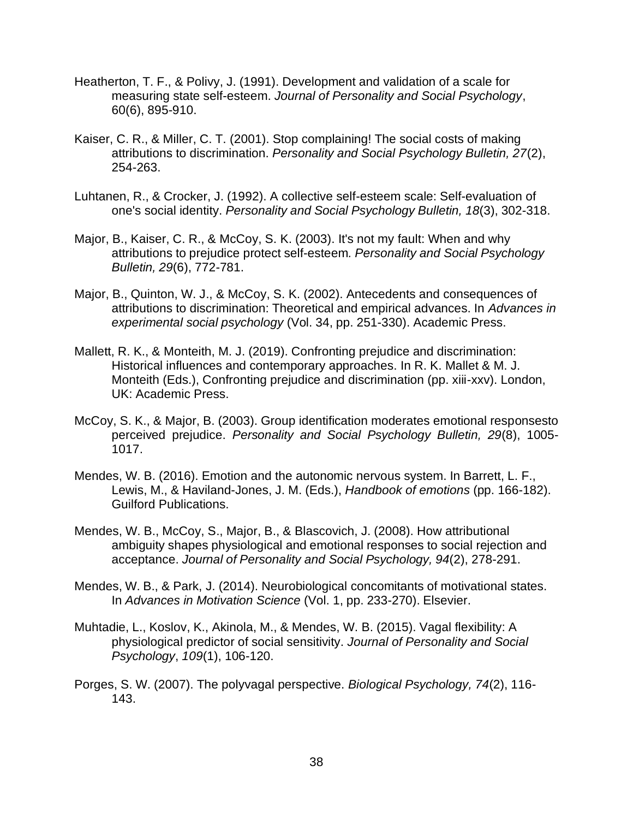- Heatherton, T. F., & Polivy, J. (1991). Development and validation of a scale for measuring state self-esteem. *Journal of Personality and Social Psychology*, 60(6), 895-910.
- Kaiser, C. R., & Miller, C. T. (2001). Stop complaining! The social costs of making attributions to discrimination. *Personality and Social Psychology Bulletin, 27*(2), 254-263.
- Luhtanen, R., & Crocker, J. (1992). A collective self-esteem scale: Self-evaluation of one's social identity. *Personality and Social Psychology Bulletin, 18*(3), 302-318.
- Major, B., Kaiser, C. R., & McCoy, S. K. (2003). It's not my fault: When and why attributions to prejudice protect self-esteem*. Personality and Social Psychology Bulletin, 29*(6), 772-781.
- Major, B., Quinton, W. J., & McCoy, S. K. (2002). Antecedents and consequences of attributions to discrimination: Theoretical and empirical advances. In *Advances in experimental social psychology* (Vol. 34, pp. 251-330). Academic Press.
- Mallett, R. K., & Monteith, M. J. (2019). Confronting prejudice and discrimination: Historical influences and contemporary approaches. In R. K. Mallet & M. J. Monteith (Eds.), Confronting prejudice and discrimination (pp. xiii-xxv). London, UK: Academic Press.
- McCoy, S. K., & Major, B. (2003). Group identification moderates emotional responsesto perceived prejudice. *Personality and Social Psychology Bulletin, 29*(8), 1005- 1017.
- Mendes, W. B. (2016). Emotion and the autonomic nervous system. In Barrett, L. F., Lewis, M., & Haviland-Jones, J. M. (Eds.), *Handbook of emotions* (pp. 166-182). Guilford Publications.
- Mendes, W. B., McCoy, S., Major, B., & Blascovich, J. (2008). How attributional ambiguity shapes physiological and emotional responses to social rejection and acceptance. *Journal of Personality and Social Psychology, 94*(2), 278-291.
- Mendes, W. B., & Park, J. (2014). Neurobiological concomitants of motivational states. In *Advances in Motivation Science* (Vol. 1, pp. 233-270). Elsevier.
- Muhtadie, L., Koslov, K., Akinola, M., & Mendes, W. B. (2015). Vagal flexibility: A physiological predictor of social sensitivity. *Journal of Personality and Social Psychology*, *109*(1), 106-120.
- Porges, S. W. (2007). The polyvagal perspective. *Biological Psychology, 74*(2), 116- 143.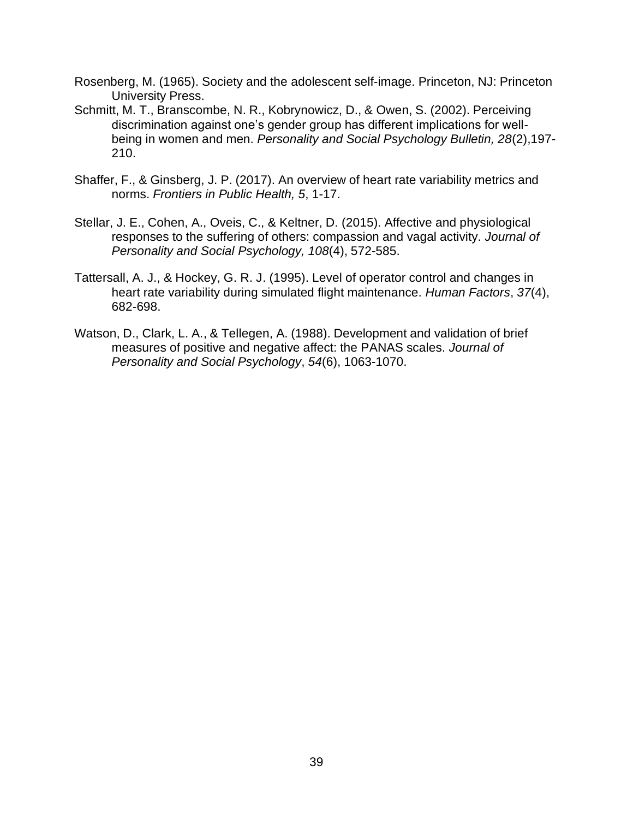- Rosenberg, M. (1965). Society and the adolescent self-image. Princeton, NJ: Princeton University Press.
- Schmitt, M. T., Branscombe, N. R., Kobrynowicz, D., & Owen, S. (2002). Perceiving discrimination against one's gender group has different implications for wellbeing in women and men. *Personality and Social Psychology Bulletin, 28*(2),197- 210.
- Shaffer, F., & Ginsberg, J. P. (2017). An overview of heart rate variability metrics and norms. *Frontiers in Public Health, 5*, 1-17.
- Stellar, J. E., Cohen, A., Oveis, C., & Keltner, D. (2015). Affective and physiological responses to the suffering of others: compassion and vagal activity. *Journal of Personality and Social Psychology, 108*(4), 572-585.
- Tattersall, A. J., & Hockey, G. R. J. (1995). Level of operator control and changes in heart rate variability during simulated flight maintenance. *Human Factors*, *37*(4), 682-698.
- Watson, D., Clark, L. A., & Tellegen, A. (1988). Development and validation of brief measures of positive and negative affect: the PANAS scales. *Journal of Personality and Social Psychology*, *54*(6), 1063-1070.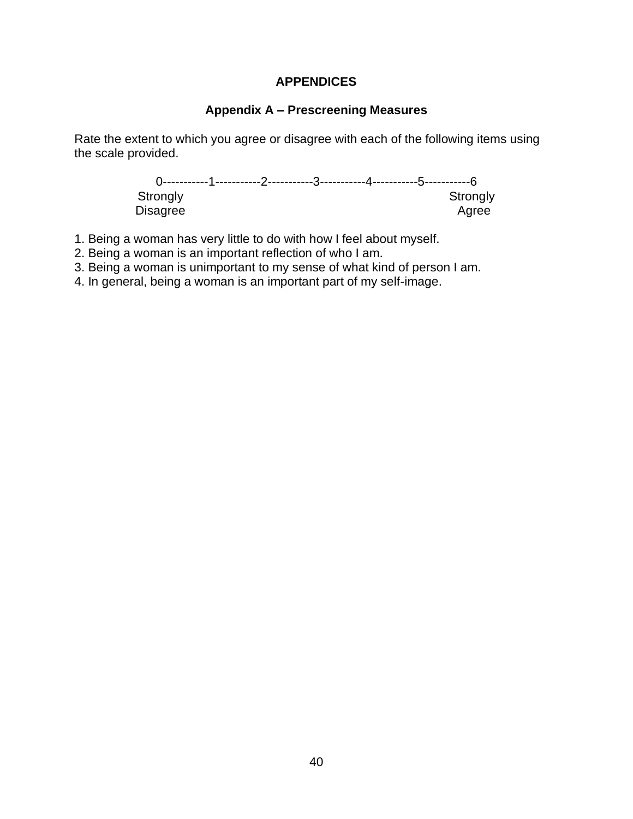# **APPENDICES**

# **Appendix A – Prescreening Measures**

Rate the extent to which you agree or disagree with each of the following items using the scale provided.

> 0-----------1-----------2-----------3-----------4-----------5-----------6 Strongly Strongly Disagree

- 1. Being a woman has very little to do with how I feel about myself.
- 2. Being a woman is an important reflection of who I am.
- 3. Being a woman is unimportant to my sense of what kind of person I am.
- 4. In general, being a woman is an important part of my self-image.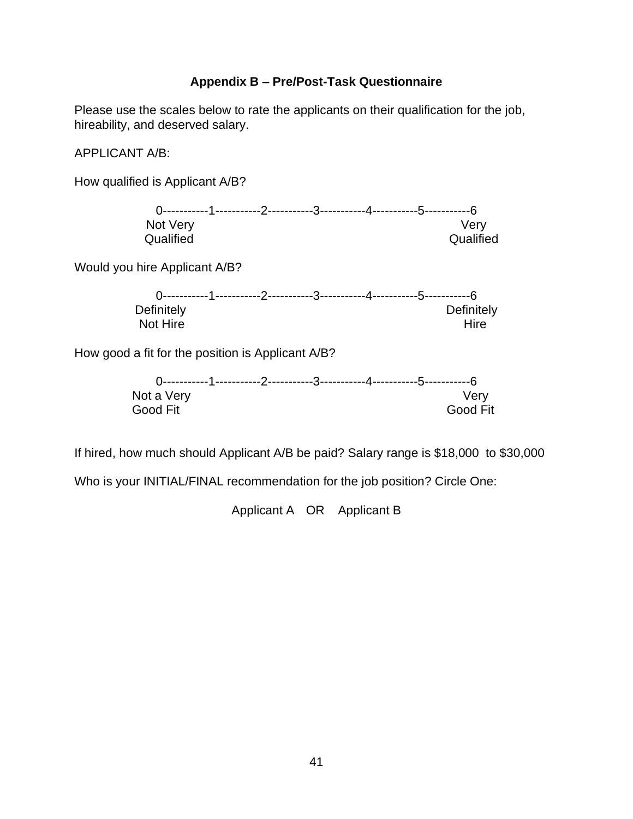# **Appendix B – Pre/Post-Task Questionnaire**

Please use the scales below to rate the applicants on their qualification for the job, hireability, and deserved salary.

APPLICANT A/B:

How qualified is Applicant A/B?

| Not Very  |  |  | Verv      |
|-----------|--|--|-----------|
| Qualified |  |  | Qualified |

Would you hire Applicant A/B?

| Definitely |  |  | Definitely |
|------------|--|--|------------|
| Not Hire   |  |  | Hire       |

How good a fit for the position is Applicant A/B?

| Not a Very |  |  | Verv            |
|------------|--|--|-----------------|
| Good Fit   |  |  | <b>Good Fit</b> |

If hired, how much should Applicant A/B be paid? Salary range is \$18,000 to \$30,000

Who is your INITIAL/FINAL recommendation for the job position? Circle One:

Applicant A OR Applicant B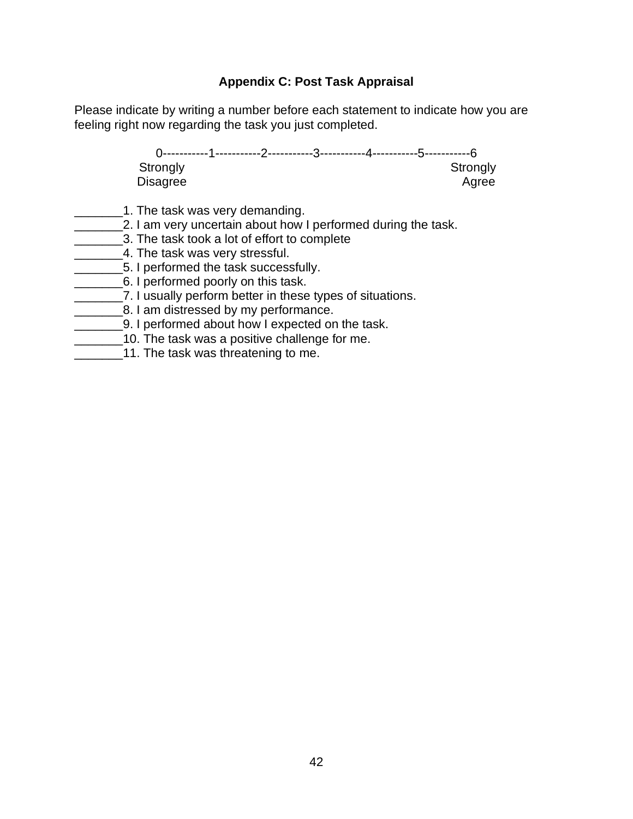# **Appendix C: Post Task Appraisal**

Please indicate by writing a number before each statement to indicate how you are feeling right now regarding the task you just completed.

> 0-----------1-----------2-----------3-----------4-----------5-----------6 Strongly Strongly Strongly Disagree Agree

- 1. The task was very demanding.
- **2. I am very uncertain about how I performed during the task.**
- \_\_\_\_\_\_\_3. The task took a lot of effort to complete
- **\_\_\_\_\_\_\_4.** The task was very stressful.
- \_\_\_\_\_\_\_5. I performed the task successfully.
- **\_\_\_\_\_\_\_\_\_\_\_6.** I performed poorly on this task.
- \_\_\_\_\_\_\_7. I usually perform better in these types of situations.
- **EXECUTE:** 8. I am distressed by my performance.
- \_\_\_\_\_\_\_9. I performed about how I expected on the task.
- **10.** The task was a positive challenge for me.
- 11. The task was threatening to me.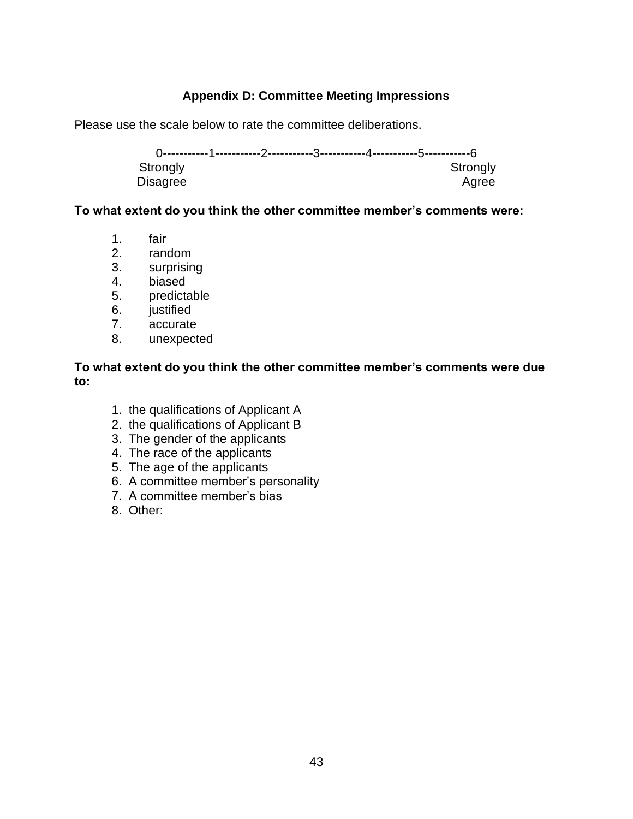# **Appendix D: Committee Meeting Impressions**

Please use the scale below to rate the committee deliberations.

0-----------1-----------2-----------3-----------4-----------5-----------6 Strongly Disagree Agree

# **To what extent do you think the other committee member's comments were:**

- 1. fair
- 2. random
- 3. surprising
- 4. biased
- 5. predictable
- 6. justified
- 7. accurate
- 8. unexpected

**To what extent do you think the other committee member's comments were due to:**

- 1. the qualifications of Applicant A
- 2. the qualifications of Applicant B
- 3. The gender of the applicants
- 4. The race of the applicants
- 5. The age of the applicants
- 6. A committee member's personality
- 7. A committee member's bias
- 8. Other: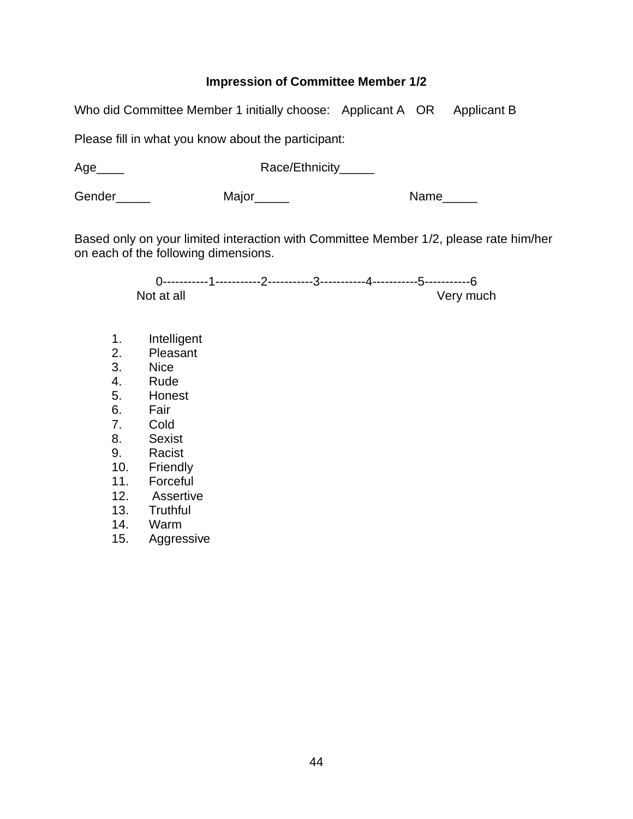# **Impression of Committee Member 1/2**

Who did Committee Member 1 initially choose: Applicant A OR Applicant B

Please fill in what you know about the participant:

Age\_\_\_\_ Race/Ethnicity\_\_\_\_\_

Gender\_\_\_\_\_\_ Major\_\_\_\_\_ Main Manne\_\_\_\_

Based only on your limited interaction with Committee Member 1/2, please rate him/her on each of the following dimensions.

> 0-----------1-----------2-----------3-----------4-----------5-----------6 Not at all very much very much

- 1. Intelligent
- 2. Pleasant
- 3. Nice
- 4. Rude
- 5. Honest
- 6. Fair
- 7. Cold
- 8. Sexist
- 9. Racist
- 10. Friendly
- 11. Forceful
- 12. Assertive
- 13. Truthful
- 14. Warm
- 15. Aggressive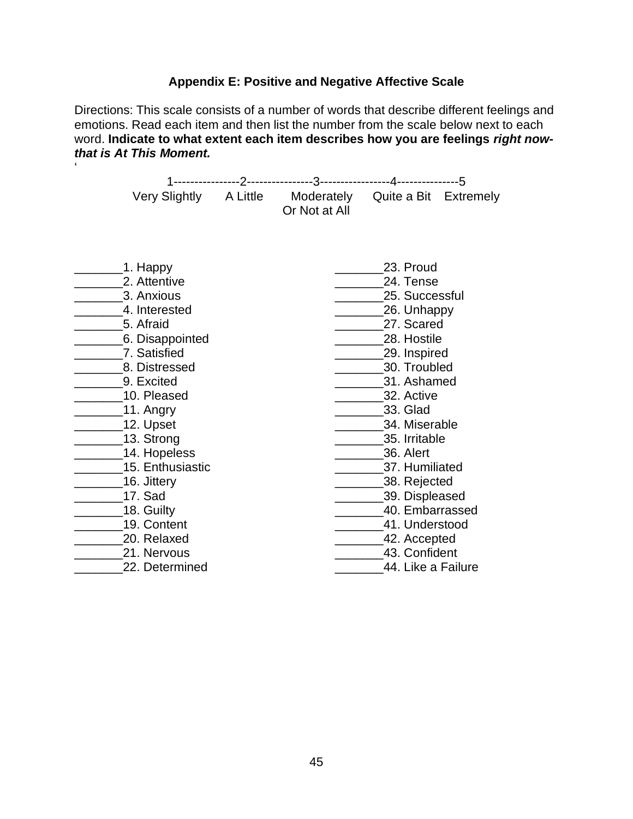# **Appendix E: Positive and Negative Affective Scale**

Directions: This scale consists of a number of words that describe different feelings and emotions. Read each item and then list the number from the scale below next to each word. **Indicate to what extent each item describes how you are feelings** *right nowthat is At This Moment.* 

'

|                                                                                                                                                                                                                                                                                                                            | Very Slightly A Little Moderately Quite a Bit Extremely<br>Or Not at All |                                                                                                                                                                                                                                                                                                                                        |  |
|----------------------------------------------------------------------------------------------------------------------------------------------------------------------------------------------------------------------------------------------------------------------------------------------------------------------------|--------------------------------------------------------------------------|----------------------------------------------------------------------------------------------------------------------------------------------------------------------------------------------------------------------------------------------------------------------------------------------------------------------------------------|--|
| 1. Happy<br>2. Attentive<br>3. Anxious<br>4. Interested<br>5. Afraid<br>6. Disappointed<br>7. Satisfied<br>8. Distressed<br>9. Excited<br>10. Pleased<br>$\_11.$ Angry<br>12. Upset<br>13. Strong<br>14. Hopeless<br>15. Enthusiastic<br>16. Jittery<br>17. Sad<br>18. Guilty<br>19. Content<br>20. Relaxed<br>21. Nervous |                                                                          | 23. Proud<br>24. Tense<br>25. Successful<br>26. Unhappy<br>27. Scared<br>28. Hostile<br>29. Inspired<br>30. Troubled<br>31. Ashamed<br>32. Active<br>33. Glad<br>34. Miserable<br>35. Irritable<br>36. Alert<br>37. Humiliated<br>38. Rejected<br>39. Displeased<br>40. Embarrassed<br>41. Understood<br>42. Accepted<br>43. Confident |  |
| 22. Determined                                                                                                                                                                                                                                                                                                             |                                                                          | 44. Like a Failure                                                                                                                                                                                                                                                                                                                     |  |